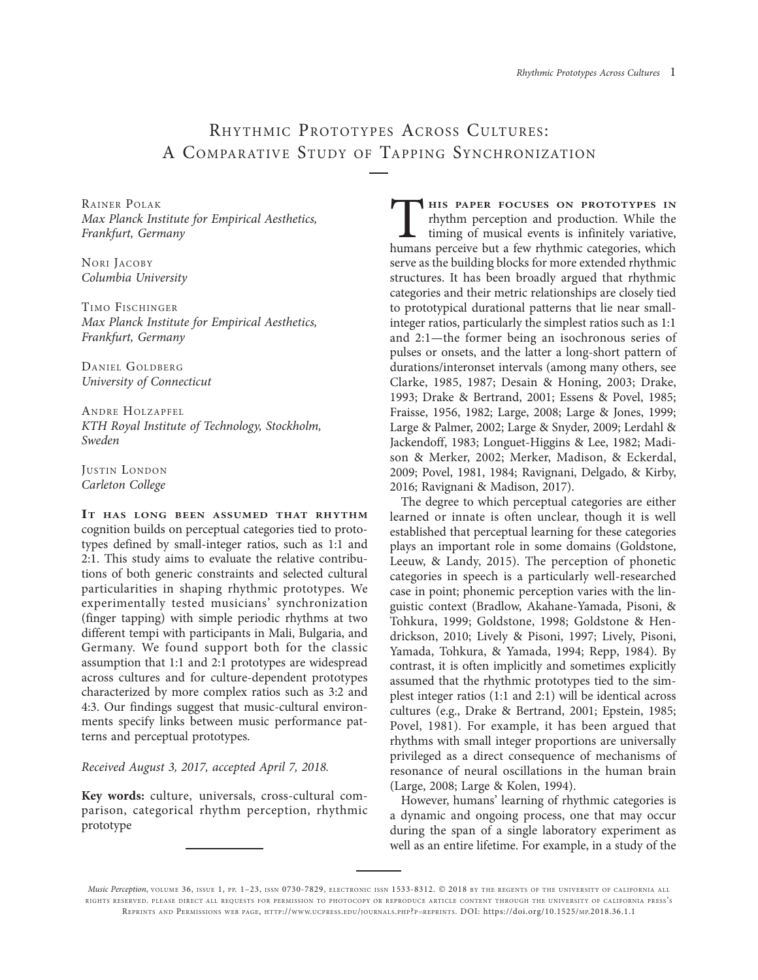# RHYTHMIC PROTOTYPES ACROSS CULTURES: A COMPARATIVE STUDY OF TAPPING SYNCHRONIZATION

RAINER POLAK Max Planck Institute for Empirical Aesthetics, Frankfurt, Germany

NORI JACOBY Columbia University

TIMO FISCHINGER Max Planck Institute for Empirical Aesthetics, Frankfurt, Germany

DANIEL GOLDBERG University of Connecticut

ANDRE HOLZAPFEL KTH Royal Institute of Technology, Stockholm, Sweden

JUSTIN LONDON Carleton College

IT HAS LONG BEEN ASSUMED THAT RHYTHM cognition builds on perceptual categories tied to prototypes defined by small-integer ratios, such as 1:1 and 2:1. This study aims to evaluate the relative contributions of both generic constraints and selected cultural particularities in shaping rhythmic prototypes. We experimentally tested musicians' synchronization (finger tapping) with simple periodic rhythms at two different tempi with participants in Mali, Bulgaria, and Germany. We found support both for the classic assumption that 1:1 and 2:1 prototypes are widespread across cultures and for culture-dependent prototypes characterized by more complex ratios such as 3:2 and 4:3. Our findings suggest that music-cultural environments specify links between music performance patterns and perceptual prototypes.

Received August 3, 2017, accepted April 7, 2018.

Key words: culture, universals, cross-cultural comparison, categorical rhythm perception, rhythmic prototype

**THIS PAPER FOCUSES ON PROTOTYPES IN** rhythm perception and production. While the timing of musical events is infinitely variative, humans perceive but a few rhythmic categories, which serve as the building blocks for more extended rhythmic structures. It has been broadly argued that rhythmic categories and their metric relationships are closely tied to prototypical durational patterns that lie near smallinteger ratios, particularly the simplest ratios such as 1:1 and 2:1—the former being an isochronous series of pulses or onsets, and the latter a long-short pattern of durations/interonset intervals (among many others, see Clarke, 1985, 1987; Desain & Honing, 2003; Drake, 1993; Drake & Bertrand, 2001; Essens & Povel, 1985; Fraisse, 1956, 1982; Large, 2008; Large & Jones, 1999; Large & Palmer, 2002; Large & Snyder, 2009; Lerdahl & Jackendoff, 1983; Longuet-Higgins & Lee, 1982; Madison & Merker, 2002; Merker, Madison, & Eckerdal, 2009; Povel, 1981, 1984; Ravignani, Delgado, & Kirby, 2016; Ravignani & Madison, 2017).

The degree to which perceptual categories are either learned or innate is often unclear, though it is well established that perceptual learning for these categories plays an important role in some domains (Goldstone, Leeuw, & Landy, 2015). The perception of phonetic categories in speech is a particularly well-researched case in point; phonemic perception varies with the linguistic context (Bradlow, Akahane-Yamada, Pisoni, & Tohkura, 1999; Goldstone, 1998; Goldstone & Hendrickson, 2010; Lively & Pisoni, 1997; Lively, Pisoni, Yamada, Tohkura, & Yamada, 1994; Repp, 1984). By contrast, it is often implicitly and sometimes explicitly assumed that the rhythmic prototypes tied to the simplest integer ratios (1:1 and 2:1) will be identical across cultures (e.g., Drake & Bertrand, 2001; Epstein, 1985; Povel, 1981). For example, it has been argued that rhythms with small integer proportions are universally privileged as a direct consequence of mechanisms of resonance of neural oscillations in the human brain (Large, 2008; Large & Kolen, 1994).

However, humans' learning of rhythmic categories is a dynamic and ongoing process, one that may occur during the span of a single laboratory experiment as well as an entire lifetime. For example, in a study of the

Music Perception, VOLUME 36, ISSUE 1, PP. 1-23, ISSN 0730-7829, ELECTRONIC ISSN 1533-8312. © 2018 BY THE REGENTS OF THE UNIVERSITY OF CALIFORNIA ALL RIGHTS RESERVED. PLEASE DIRECT ALL REQUESTS FOR PERMISSION TO PHOTOCOPY OR REPRODUCE ARTICLE CONTENT THROUGH THE UNIVERSITY OF CALIFORNIA PRESS'S REPRINTS AND PERMISSIONS WEB PAGE, HTTP://WWW.UCPRESS.EDU/JOURNALS.PHP?P=REPRINTS. [DOI: https://doi.org/10.1525/MP.2018.36.1.1](https://doi.org/10.1525/mp.2018.36.1.1)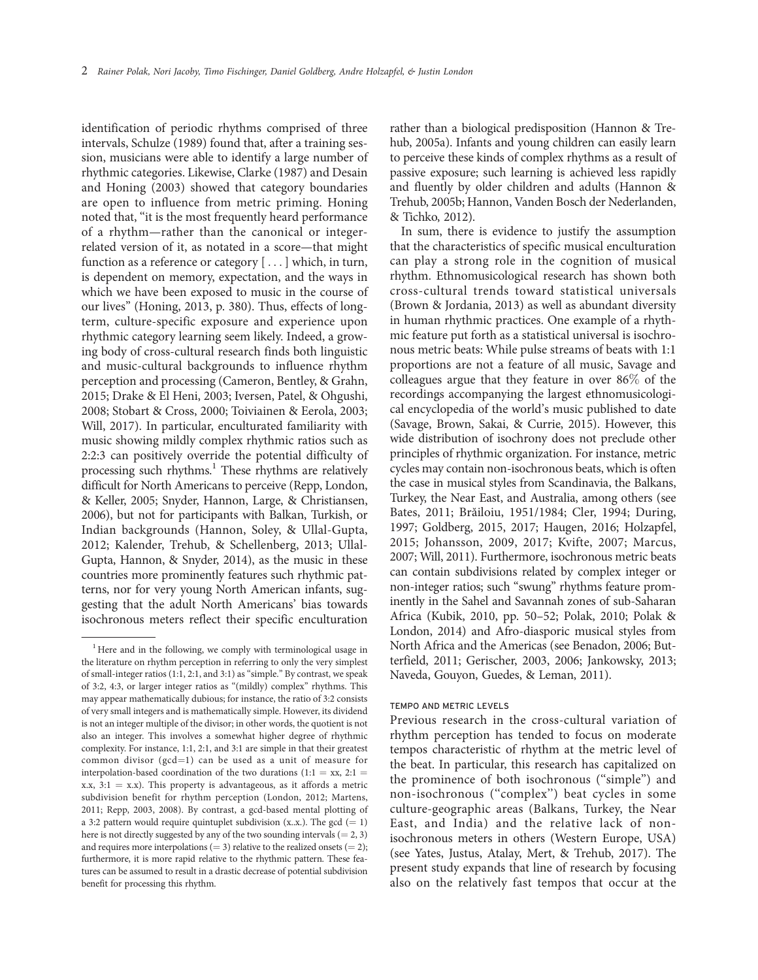identification of periodic rhythms comprised of three intervals, Schulze (1989) found that, after a training session, musicians were able to identify a large number of rhythmic categories. Likewise, Clarke (1987) and Desain and Honing (2003) showed that category boundaries are open to influence from metric priming. Honing noted that, ''it is the most frequently heard performance of a rhythm—rather than the canonical or integerrelated version of it, as notated in a score—that might function as a reference or category [...] which, in turn, is dependent on memory, expectation, and the ways in which we have been exposed to music in the course of our lives'' (Honing, 2013, p. 380). Thus, effects of longterm, culture-specific exposure and experience upon rhythmic category learning seem likely. Indeed, a growing body of cross-cultural research finds both linguistic and music-cultural backgrounds to influence rhythm perception and processing (Cameron, Bentley, & Grahn, 2015; Drake & El Heni, 2003; Iversen, Patel, & Ohgushi, 2008; Stobart & Cross, 2000; Toiviainen & Eerola, 2003; Will, 2017). In particular, enculturated familiarity with music showing mildly complex rhythmic ratios such as 2:2:3 can positively override the potential difficulty of processing such rhythms.<sup>1</sup> These rhythms are relatively difficult for North Americans to perceive (Repp, London, & Keller, 2005; Snyder, Hannon, Large, & Christiansen, 2006), but not for participants with Balkan, Turkish, or Indian backgrounds (Hannon, Soley, & Ullal-Gupta, 2012; Kalender, Trehub, & Schellenberg, 2013; Ullal-Gupta, Hannon, & Snyder, 2014), as the music in these countries more prominently features such rhythmic patterns, nor for very young North American infants, suggesting that the adult North Americans' bias towards isochronous meters reflect their specific enculturation

rather than a biological predisposition (Hannon & Trehub, 2005a). Infants and young children can easily learn to perceive these kinds of complex rhythms as a result of passive exposure; such learning is achieved less rapidly and fluently by older children and adults (Hannon & Trehub, 2005b; Hannon, Vanden Bosch der Nederlanden, & Tichko, 2012).

In sum, there is evidence to justify the assumption that the characteristics of specific musical enculturation can play a strong role in the cognition of musical rhythm. Ethnomusicological research has shown both cross-cultural trends toward statistical universals (Brown & Jordania, 2013) as well as abundant diversity in human rhythmic practices. One example of a rhythmic feature put forth as a statistical universal is isochronous metric beats: While pulse streams of beats with 1:1 proportions are not a feature of all music, Savage and colleagues argue that they feature in over 86% of the recordings accompanying the largest ethnomusicological encyclopedia of the world's music published to date (Savage, Brown, Sakai, & Currie, 2015). However, this wide distribution of isochrony does not preclude other principles of rhythmic organization. For instance, metric cycles may contain non-isochronous beats, which is often the case in musical styles from Scandinavia, the Balkans, Turkey, the Near East, and Australia, among others (see Bates, 2011; Brăiloiu, 1951/1984; Cler, 1994; During, 1997; Goldberg, 2015, 2017; Haugen, 2016; Holzapfel, 2015; Johansson, 2009, 2017; Kvifte, 2007; Marcus, 2007; Will, 2011). Furthermore, isochronous metric beats can contain subdivisions related by complex integer or non-integer ratios; such ''swung'' rhythms feature prominently in the Sahel and Savannah zones of sub-Saharan Africa (Kubik, 2010, pp. 50–52; Polak, 2010; Polak & London, 2014) and Afro-diasporic musical styles from North Africa and the Americas (see Benadon, 2006; Butterfield, 2011; Gerischer, 2003, 2006; Jankowsky, 2013; Naveda, Gouyon, Guedes, & Leman, 2011).

#### TEMPO AND METRIC LEVELS

Previous research in the cross-cultural variation of rhythm perception has tended to focus on moderate tempos characteristic of rhythm at the metric level of the beat. In particular, this research has capitalized on the prominence of both isochronous (''simple'') and non-isochronous (''complex'') beat cycles in some culture-geographic areas (Balkans, Turkey, the Near East, and India) and the relative lack of nonisochronous meters in others (Western Europe, USA) (see Yates, Justus, Atalay, Mert, & Trehub, 2017). The present study expands that line of research by focusing also on the relatively fast tempos that occur at the

<sup>&</sup>lt;sup>1</sup> Here and in the following, we comply with terminological usage in the literature on rhythm perception in referring to only the very simplest of small-integer ratios (1:1, 2:1, and 3:1) as ''simple.'' By contrast, we speak of 3:2, 4:3, or larger integer ratios as "(mildly) complex" rhythms. This may appear mathematically dubious; for instance, the ratio of 3:2 consists of very small integers and is mathematically simple. However, its dividend is not an integer multiple of the divisor; in other words, the quotient is not also an integer. This involves a somewhat higher degree of rhythmic complexity. For instance, 1:1, 2:1, and 3:1 are simple in that their greatest common divisor  $(gcd=1)$  can be used as a unit of measure for interpolation-based coordination of the two durations (1:1 = xx, 2:1 = x.x,  $3:1 = x.x$ ). This property is advantageous, as it affords a metric subdivision benefit for rhythm perception (London, 2012; Martens, 2011; Repp, 2003, 2008). By contrast, a gcd-based mental plotting of a 3:2 pattern would require quintuplet subdivision (x.x.). The gcd  $(= 1)$ here is not directly suggested by any of the two sounding intervals  $(= 2, 3)$ and requires more interpolations ( $=$  3) relative to the realized onsets ( $=$  2); furthermore, it is more rapid relative to the rhythmic pattern. These features can be assumed to result in a drastic decrease of potential subdivision benefit for processing this rhythm.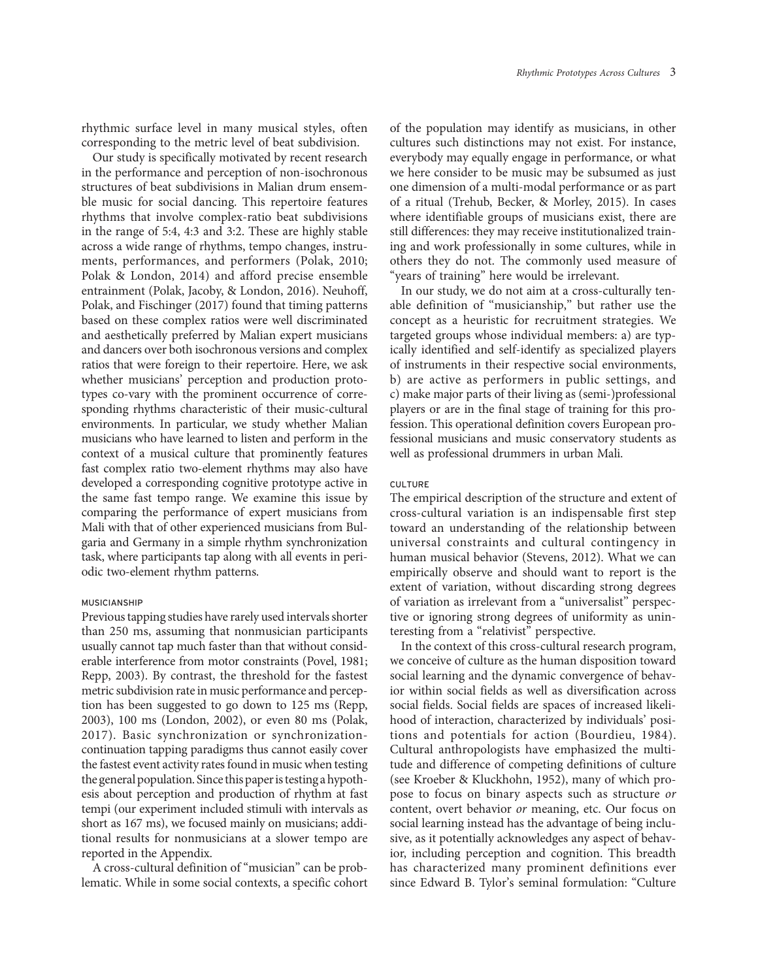rhythmic surface level in many musical styles, often corresponding to the metric level of beat subdivision.

Our study is specifically motivated by recent research in the performance and perception of non-isochronous structures of beat subdivisions in Malian drum ensemble music for social dancing. This repertoire features rhythms that involve complex-ratio beat subdivisions in the range of 5:4, 4:3 and 3:2. These are highly stable across a wide range of rhythms, tempo changes, instruments, performances, and performers (Polak, 2010; Polak & London, 2014) and afford precise ensemble entrainment (Polak, Jacoby, & London, 2016). Neuhoff, Polak, and Fischinger (2017) found that timing patterns based on these complex ratios were well discriminated and aesthetically preferred by Malian expert musicians and dancers over both isochronous versions and complex ratios that were foreign to their repertoire. Here, we ask whether musicians' perception and production prototypes co-vary with the prominent occurrence of corresponding rhythms characteristic of their music-cultural environments. In particular, we study whether Malian musicians who have learned to listen and perform in the context of a musical culture that prominently features fast complex ratio two-element rhythms may also have developed a corresponding cognitive prototype active in the same fast tempo range. We examine this issue by comparing the performance of expert musicians from Mali with that of other experienced musicians from Bulgaria and Germany in a simple rhythm synchronization task, where participants tap along with all events in periodic two-element rhythm patterns.

#### MUSICIANSHIP

Previous tapping studies have rarely used intervals shorter than 250 ms, assuming that nonmusician participants usually cannot tap much faster than that without considerable interference from motor constraints (Povel, 1981; Repp, 2003). By contrast, the threshold for the fastest metric subdivision rate in music performance and perception has been suggested to go down to 125 ms (Repp, 2003), 100 ms (London, 2002), or even 80 ms (Polak, 2017). Basic synchronization or synchronizationcontinuation tapping paradigms thus cannot easily cover the fastest event activity rates found in music when testing the general population. Since this paper is testing a hypothesis about perception and production of rhythm at fast tempi (our experiment included stimuli with intervals as short as 167 ms), we focused mainly on musicians; additional results for nonmusicians at a slower tempo are reported in the Appendix.

A cross-cultural definition of ''musician'' can be problematic. While in some social contexts, a specific cohort of the population may identify as musicians, in other cultures such distinctions may not exist. For instance, everybody may equally engage in performance, or what we here consider to be music may be subsumed as just one dimension of a multi-modal performance or as part of a ritual (Trehub, Becker, & Morley, 2015). In cases where identifiable groups of musicians exist, there are still differences: they may receive institutionalized training and work professionally in some cultures, while in others they do not. The commonly used measure of "years of training" here would be irrelevant.

In our study, we do not aim at a cross-culturally tenable definition of ''musicianship,'' but rather use the concept as a heuristic for recruitment strategies. We targeted groups whose individual members: a) are typically identified and self-identify as specialized players of instruments in their respective social environments, b) are active as performers in public settings, and c) make major parts of their living as (semi-)professional players or are in the final stage of training for this profession. This operational definition covers European professional musicians and music conservatory students as well as professional drummers in urban Mali.

## **CULTURE**

The empirical description of the structure and extent of cross-cultural variation is an indispensable first step toward an understanding of the relationship between universal constraints and cultural contingency in human musical behavior (Stevens, 2012). What we can empirically observe and should want to report is the extent of variation, without discarding strong degrees of variation as irrelevant from a ''universalist'' perspective or ignoring strong degrees of uniformity as uninteresting from a "relativist" perspective.

In the context of this cross-cultural research program, we conceive of culture as the human disposition toward social learning and the dynamic convergence of behavior within social fields as well as diversification across social fields. Social fields are spaces of increased likelihood of interaction, characterized by individuals' positions and potentials for action (Bourdieu, 1984). Cultural anthropologists have emphasized the multitude and difference of competing definitions of culture (see Kroeber & Kluckhohn, 1952), many of which propose to focus on binary aspects such as structure or content, overt behavior or meaning, etc. Our focus on social learning instead has the advantage of being inclusive, as it potentially acknowledges any aspect of behavior, including perception and cognition. This breadth has characterized many prominent definitions ever since Edward B. Tylor's seminal formulation: "Culture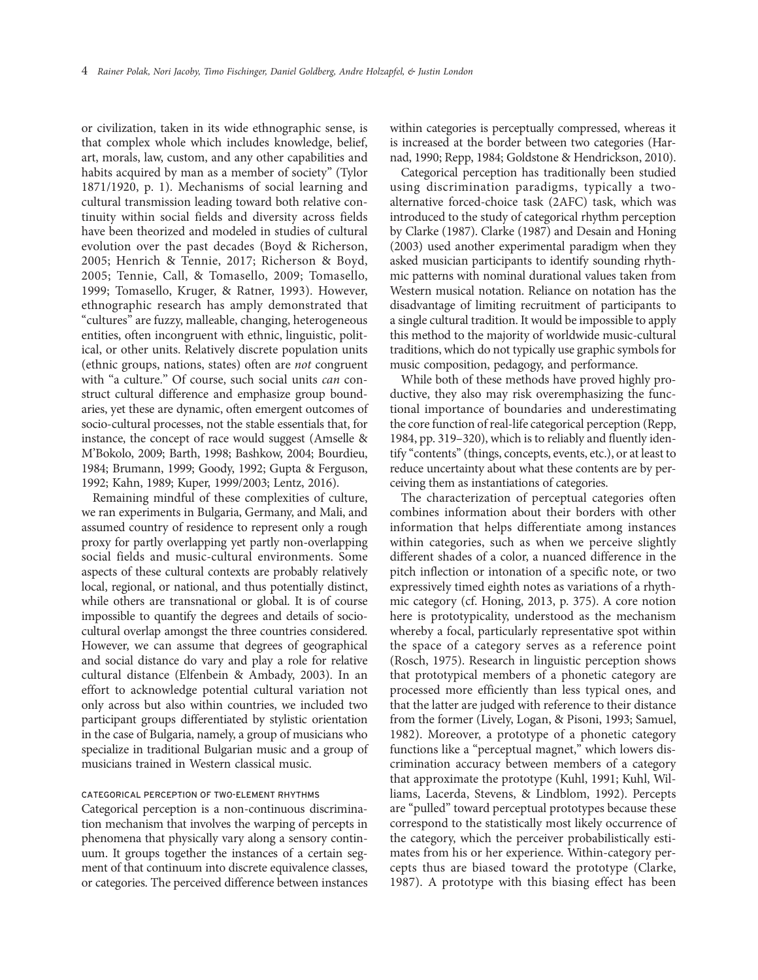or civilization, taken in its wide ethnographic sense, is that complex whole which includes knowledge, belief, art, morals, law, custom, and any other capabilities and habits acquired by man as a member of society'' (Tylor 1871/1920, p. 1). Mechanisms of social learning and cultural transmission leading toward both relative continuity within social fields and diversity across fields have been theorized and modeled in studies of cultural evolution over the past decades (Boyd & Richerson, 2005; Henrich & Tennie, 2017; Richerson & Boyd, 2005; Tennie, Call, & Tomasello, 2009; Tomasello, 1999; Tomasello, Kruger, & Ratner, 1993). However, ethnographic research has amply demonstrated that ''cultures'' are fuzzy, malleable, changing, heterogeneous entities, often incongruent with ethnic, linguistic, political, or other units. Relatively discrete population units (ethnic groups, nations, states) often are not congruent with "a culture." Of course, such social units can construct cultural difference and emphasize group boundaries, yet these are dynamic, often emergent outcomes of socio-cultural processes, not the stable essentials that, for instance, the concept of race would suggest (Amselle & M'Bokolo, 2009; Barth, 1998; Bashkow, 2004; Bourdieu, 1984; Brumann, 1999; Goody, 1992; Gupta & Ferguson, 1992; Kahn, 1989; Kuper, 1999/2003; Lentz, 2016).

Remaining mindful of these complexities of culture, we ran experiments in Bulgaria, Germany, and Mali, and assumed country of residence to represent only a rough proxy for partly overlapping yet partly non-overlapping social fields and music-cultural environments. Some aspects of these cultural contexts are probably relatively local, regional, or national, and thus potentially distinct, while others are transnational or global. It is of course impossible to quantify the degrees and details of sociocultural overlap amongst the three countries considered. However, we can assume that degrees of geographical and social distance do vary and play a role for relative cultural distance (Elfenbein & Ambady, 2003). In an effort to acknowledge potential cultural variation not only across but also within countries, we included two participant groups differentiated by stylistic orientation in the case of Bulgaria, namely, a group of musicians who specialize in traditional Bulgarian music and a group of musicians trained in Western classical music.

#### CATEGORICAL PERCEPTION OF TWO-ELEMENT RHYTHMS

Categorical perception is a non-continuous discrimination mechanism that involves the warping of percepts in phenomena that physically vary along a sensory continuum. It groups together the instances of a certain segment of that continuum into discrete equivalence classes, or categories. The perceived difference between instances within categories is perceptually compressed, whereas it is increased at the border between two categories (Harnad, 1990; Repp, 1984; Goldstone & Hendrickson, 2010).

Categorical perception has traditionally been studied using discrimination paradigms, typically a twoalternative forced-choice task (2AFC) task, which was introduced to the study of categorical rhythm perception by Clarke (1987). Clarke (1987) and Desain and Honing (2003) used another experimental paradigm when they asked musician participants to identify sounding rhythmic patterns with nominal durational values taken from Western musical notation. Reliance on notation has the disadvantage of limiting recruitment of participants to a single cultural tradition. It would be impossible to apply this method to the majority of worldwide music-cultural traditions, which do not typically use graphic symbols for music composition, pedagogy, and performance.

While both of these methods have proved highly productive, they also may risk overemphasizing the functional importance of boundaries and underestimating the core function of real-life categorical perception (Repp, 1984, pp. 319–320), which is to reliably and fluently identify "contents" (things, concepts, events, etc.), or at least to reduce uncertainty about what these contents are by perceiving them as instantiations of categories.

The characterization of perceptual categories often combines information about their borders with other information that helps differentiate among instances within categories, such as when we perceive slightly different shades of a color, a nuanced difference in the pitch inflection or intonation of a specific note, or two expressively timed eighth notes as variations of a rhythmic category (cf. Honing, 2013, p. 375). A core notion here is prototypicality, understood as the mechanism whereby a focal, particularly representative spot within the space of a category serves as a reference point (Rosch, 1975). Research in linguistic perception shows that prototypical members of a phonetic category are processed more efficiently than less typical ones, and that the latter are judged with reference to their distance from the former (Lively, Logan, & Pisoni, 1993; Samuel, 1982). Moreover, a prototype of a phonetic category functions like a "perceptual magnet," which lowers discrimination accuracy between members of a category that approximate the prototype (Kuhl, 1991; Kuhl, Williams, Lacerda, Stevens, & Lindblom, 1992). Percepts are "pulled" toward perceptual prototypes because these correspond to the statistically most likely occurrence of the category, which the perceiver probabilistically estimates from his or her experience. Within-category percepts thus are biased toward the prototype (Clarke, 1987). A prototype with this biasing effect has been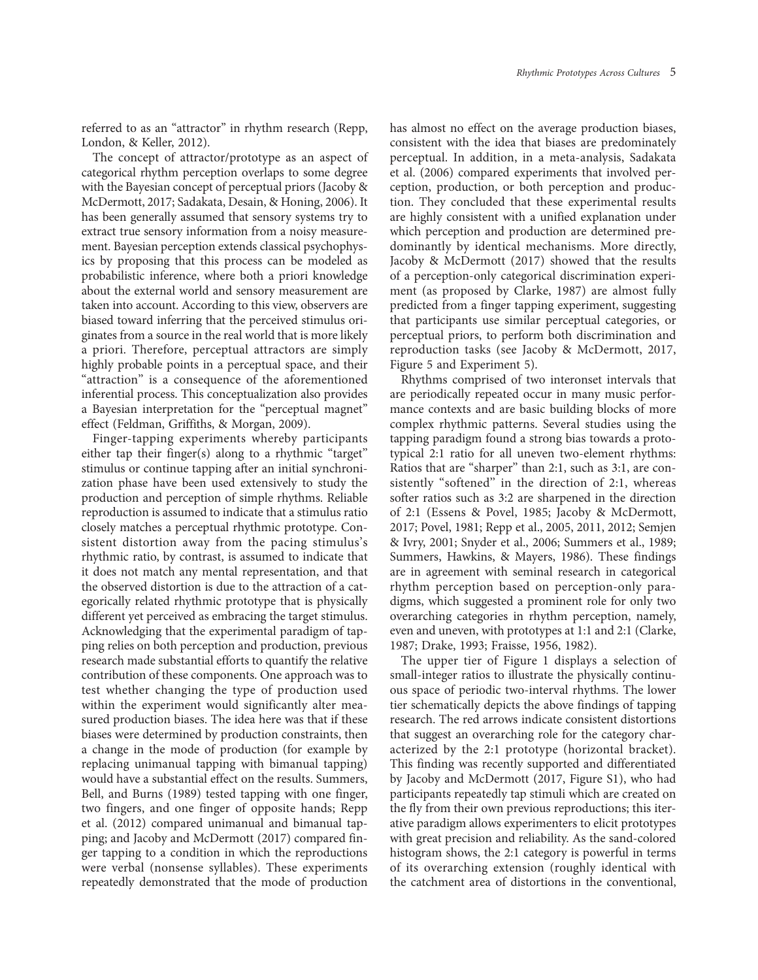referred to as an ''attractor'' in rhythm research (Repp, London, & Keller, 2012).

The concept of attractor/prototype as an aspect of categorical rhythm perception overlaps to some degree with the Bayesian concept of perceptual priors (Jacoby & McDermott, 2017; Sadakata, Desain, & Honing, 2006). It has been generally assumed that sensory systems try to extract true sensory information from a noisy measurement. Bayesian perception extends classical psychophysics by proposing that this process can be modeled as probabilistic inference, where both a priori knowledge about the external world and sensory measurement are taken into account. According to this view, observers are biased toward inferring that the perceived stimulus originates from a source in the real world that is more likely a priori. Therefore, perceptual attractors are simply highly probable points in a perceptual space, and their "attraction" is a consequence of the aforementioned inferential process. This conceptualization also provides a Bayesian interpretation for the ''perceptual magnet'' effect (Feldman, Griffiths, & Morgan, 2009).

Finger-tapping experiments whereby participants either tap their finger(s) along to a rhythmic "target" stimulus or continue tapping after an initial synchronization phase have been used extensively to study the production and perception of simple rhythms. Reliable reproduction is assumed to indicate that a stimulus ratio closely matches a perceptual rhythmic prototype. Consistent distortion away from the pacing stimulus's rhythmic ratio, by contrast, is assumed to indicate that it does not match any mental representation, and that the observed distortion is due to the attraction of a categorically related rhythmic prototype that is physically different yet perceived as embracing the target stimulus. Acknowledging that the experimental paradigm of tapping relies on both perception and production, previous research made substantial efforts to quantify the relative contribution of these components. One approach was to test whether changing the type of production used within the experiment would significantly alter measured production biases. The idea here was that if these biases were determined by production constraints, then a change in the mode of production (for example by replacing unimanual tapping with bimanual tapping) would have a substantial effect on the results. Summers, Bell, and Burns (1989) tested tapping with one finger, two fingers, and one finger of opposite hands; Repp et al. (2012) compared unimanual and bimanual tapping; and Jacoby and McDermott (2017) compared finger tapping to a condition in which the reproductions were verbal (nonsense syllables). These experiments repeatedly demonstrated that the mode of production

has almost no effect on the average production biases, consistent with the idea that biases are predominately perceptual. In addition, in a meta-analysis, Sadakata et al. (2006) compared experiments that involved perception, production, or both perception and production. They concluded that these experimental results are highly consistent with a unified explanation under which perception and production are determined predominantly by identical mechanisms. More directly, Jacoby & McDermott (2017) showed that the results of a perception-only categorical discrimination experiment (as proposed by Clarke, 1987) are almost fully predicted from a finger tapping experiment, suggesting that participants use similar perceptual categories, or perceptual priors, to perform both discrimination and reproduction tasks (see Jacoby & McDermott, 2017, Figure 5 and Experiment 5).

Rhythms comprised of two interonset intervals that are periodically repeated occur in many music performance contexts and are basic building blocks of more complex rhythmic patterns. Several studies using the tapping paradigm found a strong bias towards a prototypical 2:1 ratio for all uneven two-element rhythms: Ratios that are "sharper" than 2:1, such as 3:1, are consistently "softened" in the direction of 2:1, whereas softer ratios such as 3:2 are sharpened in the direction of 2:1 (Essens & Povel, 1985; Jacoby & McDermott, 2017; Povel, 1981; Repp et al., 2005, 2011, 2012; Semjen & Ivry, 2001; Snyder et al., 2006; Summers et al., 1989; Summers, Hawkins, & Mayers, 1986). These findings are in agreement with seminal research in categorical rhythm perception based on perception-only paradigms, which suggested a prominent role for only two overarching categories in rhythm perception, namely, even and uneven, with prototypes at 1:1 and 2:1 (Clarke, 1987; Drake, 1993; Fraisse, 1956, 1982).

The upper tier of Figure 1 displays a selection of small-integer ratios to illustrate the physically continuous space of periodic two-interval rhythms. The lower tier schematically depicts the above findings of tapping research. The red arrows indicate consistent distortions that suggest an overarching role for the category characterized by the 2:1 prototype (horizontal bracket). This finding was recently supported and differentiated by Jacoby and McDermott (2017, Figure S1), who had participants repeatedly tap stimuli which are created on the fly from their own previous reproductions; this iterative paradigm allows experimenters to elicit prototypes with great precision and reliability. As the sand-colored histogram shows, the 2:1 category is powerful in terms of its overarching extension (roughly identical with the catchment area of distortions in the conventional,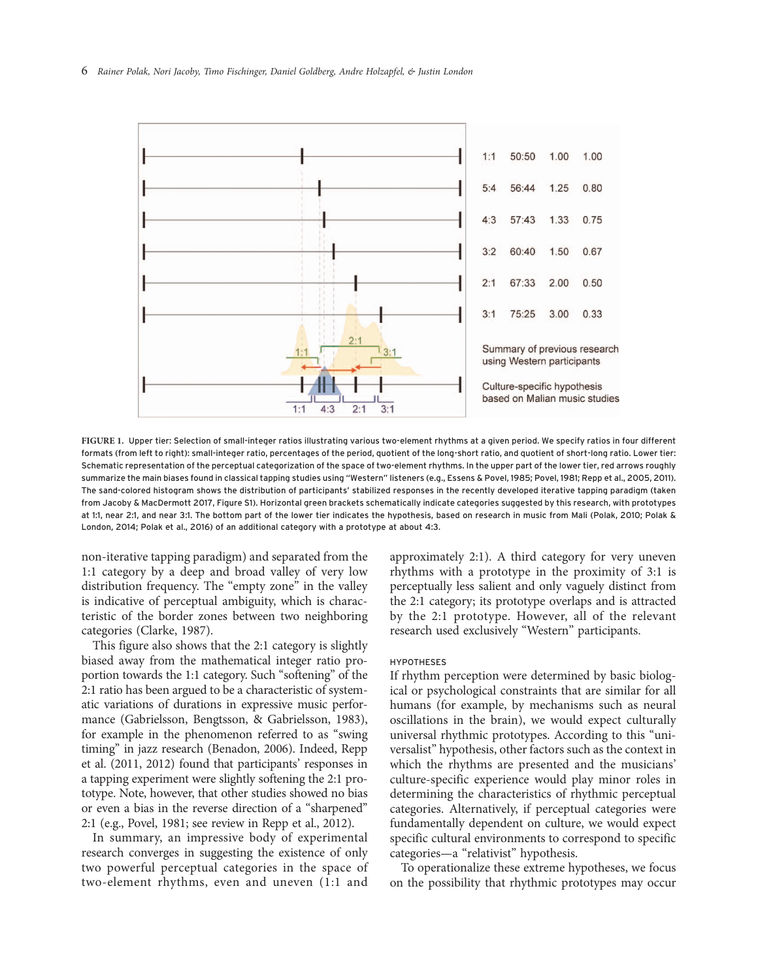

FIGURE 1. Upper tier: Selection of small-integer ratios illustrating various two-element rhythms at a given period. We specify ratios in four different formats (from left to right): small-integer ratio, percentages of the period, quotient of the long-short ratio, and quotient of short-long ratio. Lower tier: Schematic representation of the perceptual categorization of the space of two-element rhythms. In the upper part of the lower tier, red arrows roughly summarize the main biases found in classical tapping studies using "Western" listeners (e.g., Essens & Povel, 1985; Povel, 1981; Repp et al., 2005, 2011). The sand-colored histogram shows the distribution of participants' stabilized responses in the recently developed iterative tapping paradigm (taken from Jacoby & MacDermott 2017, Figure S1). Horizontal green brackets schematically indicate categories suggested by this research, with prototypes at 1:1, near 2:1, and near 3:1. The bottom part of the lower tier indicates the hypothesis, based on research in music from Mali (Polak, 2010; Polak & London, 2014; Polak et al., 2016) of an additional category with a prototype at about 4:3.

non-iterative tapping paradigm) and separated from the 1:1 category by a deep and broad valley of very low distribution frequency. The "empty zone" in the valley is indicative of perceptual ambiguity, which is characteristic of the border zones between two neighboring categories (Clarke, 1987).

This figure also shows that the 2:1 category is slightly biased away from the mathematical integer ratio proportion towards the 1:1 category. Such ''softening'' of the 2:1 ratio has been argued to be a characteristic of systematic variations of durations in expressive music performance (Gabrielsson, Bengtsson, & Gabrielsson, 1983), for example in the phenomenon referred to as ''swing timing'' in jazz research (Benadon, 2006). Indeed, Repp et al. (2011, 2012) found that participants' responses in a tapping experiment were slightly softening the 2:1 prototype. Note, however, that other studies showed no bias or even a bias in the reverse direction of a ''sharpened'' 2:1 (e.g., Povel, 1981; see review in Repp et al., 2012).

In summary, an impressive body of experimental research converges in suggesting the existence of only two powerful perceptual categories in the space of two-element rhythms, even and uneven (1:1 and

approximately 2:1). A third category for very uneven rhythms with a prototype in the proximity of 3:1 is perceptually less salient and only vaguely distinct from the 2:1 category; its prototype overlaps and is attracted by the 2:1 prototype. However, all of the relevant research used exclusively ''Western'' participants.

#### HYPOTHESES

If rhythm perception were determined by basic biological or psychological constraints that are similar for all humans (for example, by mechanisms such as neural oscillations in the brain), we would expect culturally universal rhythmic prototypes. According to this ''universalist'' hypothesis, other factors such as the context in which the rhythms are presented and the musicians' culture-specific experience would play minor roles in determining the characteristics of rhythmic perceptual categories. Alternatively, if perceptual categories were fundamentally dependent on culture, we would expect specific cultural environments to correspond to specific categories—a "relativist" hypothesis.

To operationalize these extreme hypotheses, we focus on the possibility that rhythmic prototypes may occur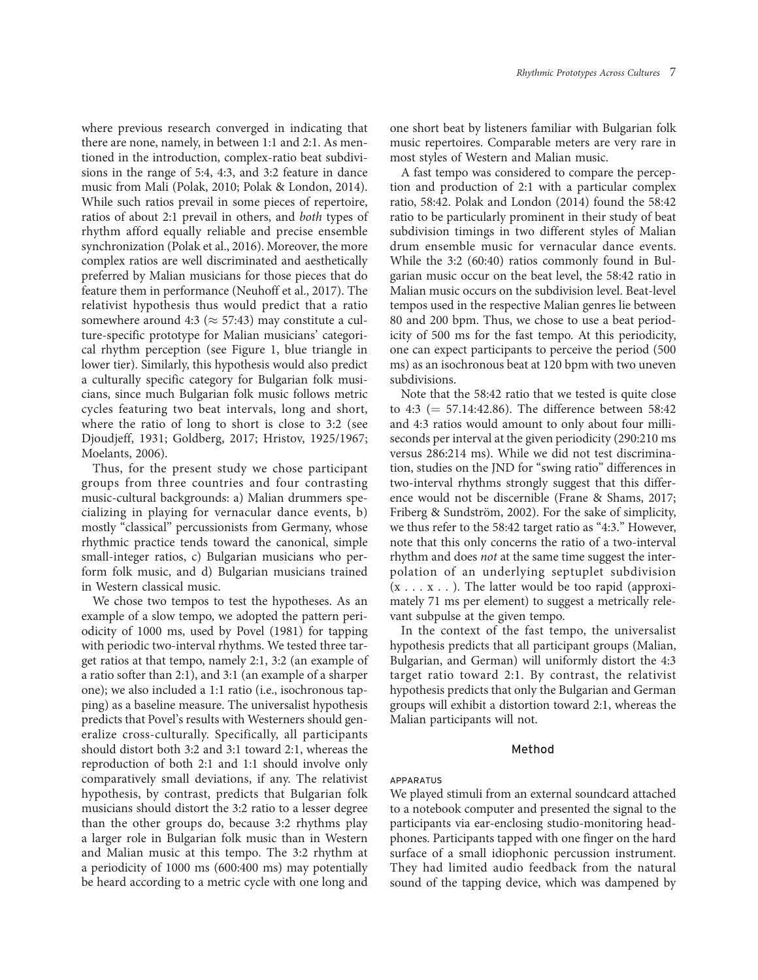where previous research converged in indicating that there are none, namely, in between 1:1 and 2:1. As mentioned in the introduction, complex-ratio beat subdivisions in the range of 5:4, 4:3, and 3:2 feature in dance music from Mali (Polak, 2010; Polak & London, 2014). While such ratios prevail in some pieces of repertoire, ratios of about 2:1 prevail in others, and both types of rhythm afford equally reliable and precise ensemble synchronization (Polak et al., 2016). Moreover, the more complex ratios are well discriminated and aesthetically preferred by Malian musicians for those pieces that do feature them in performance (Neuhoff et al., 2017). The relativist hypothesis thus would predict that a ratio somewhere around 4:3 ( $\approx$  57:43) may constitute a culture-specific prototype for Malian musicians' categorical rhythm perception (see Figure 1, blue triangle in lower tier). Similarly, this hypothesis would also predict a culturally specific category for Bulgarian folk musicians, since much Bulgarian folk music follows metric cycles featuring two beat intervals, long and short, where the ratio of long to short is close to 3:2 (see Djoudjeff, 1931; Goldberg, 2017; Hristov, 1925/1967; Moelants, 2006).

Thus, for the present study we chose participant groups from three countries and four contrasting music-cultural backgrounds: a) Malian drummers specializing in playing for vernacular dance events, b) mostly "classical" percussionists from Germany, whose rhythmic practice tends toward the canonical, simple small-integer ratios, c) Bulgarian musicians who perform folk music, and d) Bulgarian musicians trained in Western classical music.

We chose two tempos to test the hypotheses. As an example of a slow tempo, we adopted the pattern periodicity of 1000 ms, used by Povel (1981) for tapping with periodic two-interval rhythms. We tested three target ratios at that tempo, namely 2:1, 3:2 (an example of a ratio softer than 2:1), and 3:1 (an example of a sharper one); we also included a 1:1 ratio (i.e., isochronous tapping) as a baseline measure. The universalist hypothesis predicts that Povel's results with Westerners should generalize cross-culturally. Specifically, all participants should distort both 3:2 and 3:1 toward 2:1, whereas the reproduction of both 2:1 and 1:1 should involve only comparatively small deviations, if any. The relativist hypothesis, by contrast, predicts that Bulgarian folk musicians should distort the 3:2 ratio to a lesser degree than the other groups do, because 3:2 rhythms play a larger role in Bulgarian folk music than in Western and Malian music at this tempo. The 3:2 rhythm at a periodicity of 1000 ms (600:400 ms) may potentially be heard according to a metric cycle with one long and

one short beat by listeners familiar with Bulgarian folk music repertoires. Comparable meters are very rare in most styles of Western and Malian music.

A fast tempo was considered to compare the perception and production of 2:1 with a particular complex ratio, 58:42. Polak and London (2014) found the 58:42 ratio to be particularly prominent in their study of beat subdivision timings in two different styles of Malian drum ensemble music for vernacular dance events. While the 3:2 (60:40) ratios commonly found in Bulgarian music occur on the beat level, the 58:42 ratio in Malian music occurs on the subdivision level. Beat-level tempos used in the respective Malian genres lie between 80 and 200 bpm. Thus, we chose to use a beat periodicity of 500 ms for the fast tempo. At this periodicity, one can expect participants to perceive the period (500 ms) as an isochronous beat at 120 bpm with two uneven subdivisions.

Note that the 58:42 ratio that we tested is quite close to 4:3 ( $= 57.14:42.86$ ). The difference between 58:42 and 4:3 ratios would amount to only about four milliseconds per interval at the given periodicity (290:210 ms versus 286:214 ms). While we did not test discrimination, studies on the JND for ''swing ratio'' differences in two-interval rhythms strongly suggest that this difference would not be discernible (Frane & Shams, 2017; Friberg & Sundström, 2002). For the sake of simplicity, we thus refer to the 58:42 target ratio as "4:3." However, note that this only concerns the ratio of a two-interval rhythm and does not at the same time suggest the interpolation of an underlying septuplet subdivision  $(x \dots x \dots)$ . The latter would be too rapid (approximately 71 ms per element) to suggest a metrically relevant subpulse at the given tempo.

In the context of the fast tempo, the universalist hypothesis predicts that all participant groups (Malian, Bulgarian, and German) will uniformly distort the 4:3 target ratio toward 2:1. By contrast, the relativist hypothesis predicts that only the Bulgarian and German groups will exhibit a distortion toward 2:1, whereas the Malian participants will not.

#### Method

#### APPARATUS

We played stimuli from an external soundcard attached to a notebook computer and presented the signal to the participants via ear-enclosing studio-monitoring headphones. Participants tapped with one finger on the hard surface of a small idiophonic percussion instrument. They had limited audio feedback from the natural sound of the tapping device, which was dampened by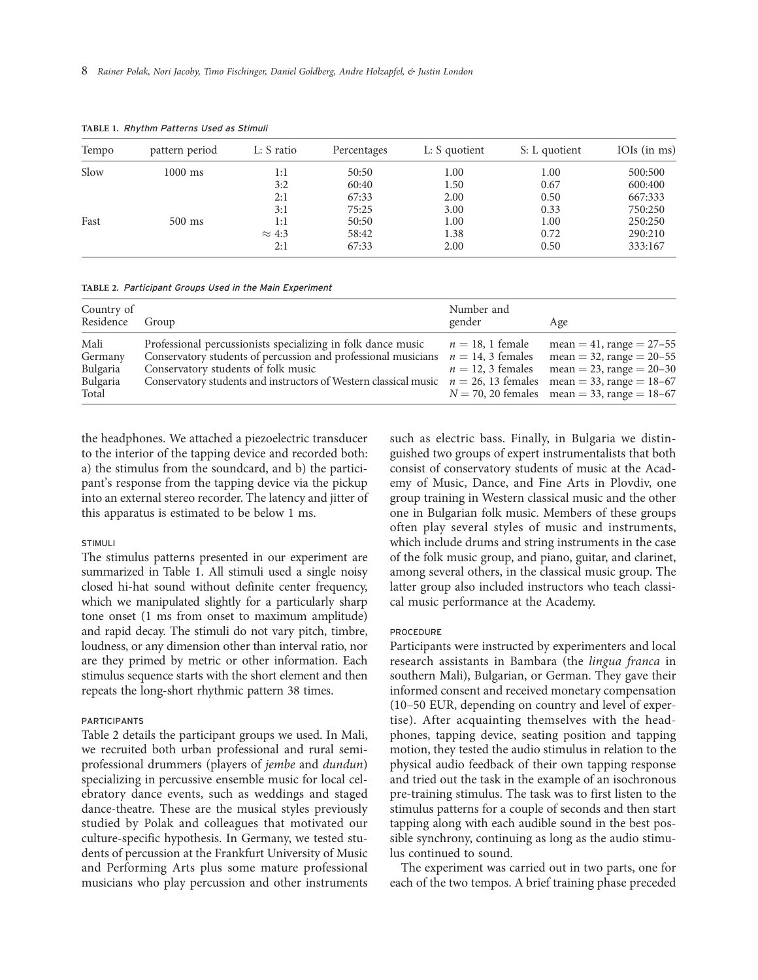| Tempo | pattern period | L: S ratio    | Percentages | L: S quotient | S: L quotient | IOIs (in ms) |
|-------|----------------|---------------|-------------|---------------|---------------|--------------|
| Slow  | $1000$ ms      | 1:1           | 50:50       | 1.00          | 1.00          | 500:500      |
|       |                | 3:2           | 60:40       | 1.50          | 0.67          | 600:400      |
|       |                | 2:1           | 67:33       | 2.00          | 0.50          | 667:333      |
|       |                | 3:1           | 75:25       | 3.00          | 0.33          | 750:250      |
| Fast  | $500$ ms       | 1:1           | 50:50       | 1.00          | 1.00          | 250:250      |
|       |                | $\approx 4:3$ | 58:42       | 1.38          | 0.72          | 290:210      |
|       |                | 2:1           | 67:33       | 2.00          | 0.50          | 333:167      |

TABLE 1. Rhythm Patterns Used as Stimuli

TABLE 2. Participant Groups Used in the Main Experiment

| Country of<br>Residence                          | Group                                                                                                                                                                                                                                                                                | Number and<br>gender                       | Age                                                                                                                                                                      |
|--------------------------------------------------|--------------------------------------------------------------------------------------------------------------------------------------------------------------------------------------------------------------------------------------------------------------------------------------|--------------------------------------------|--------------------------------------------------------------------------------------------------------------------------------------------------------------------------|
| Mali<br>Germany<br>Bulgaria<br>Bulgaria<br>Total | Professional percussionists specializing in folk dance music<br>Conservatory students of percussion and professional musicians $n = 14$ , 3 females<br>Conservatory students of folk music<br>Conservatory students and instructors of Western classical music $n = 26$ , 13 females | $n = 18$ , 1 female<br>$n = 12, 3$ females | mean = 41, range = $27-55$<br>mean = 32, range = $20 - 55$<br>mean = 23, range = $20-30$<br>mean = 33, range = $18-67$<br>$N = 70$ , 20 females mean = 33, range = 18-67 |

the headphones. We attached a piezoelectric transducer to the interior of the tapping device and recorded both: a) the stimulus from the soundcard, and b) the participant's response from the tapping device via the pickup into an external stereo recorder. The latency and jitter of this apparatus is estimated to be below 1 ms.

## STIMULI

The stimulus patterns presented in our experiment are summarized in Table 1. All stimuli used a single noisy closed hi-hat sound without definite center frequency, which we manipulated slightly for a particularly sharp tone onset (1 ms from onset to maximum amplitude) and rapid decay. The stimuli do not vary pitch, timbre, loudness, or any dimension other than interval ratio, nor are they primed by metric or other information. Each stimulus sequence starts with the short element and then repeats the long-short rhythmic pattern 38 times.

#### PARTICIPANTS

Table 2 details the participant groups we used. In Mali, we recruited both urban professional and rural semiprofessional drummers (players of jembe and dundun) specializing in percussive ensemble music for local celebratory dance events, such as weddings and staged dance-theatre. These are the musical styles previously studied by Polak and colleagues that motivated our culture-specific hypothesis. In Germany, we tested students of percussion at the Frankfurt University of Music and Performing Arts plus some mature professional musicians who play percussion and other instruments such as electric bass. Finally, in Bulgaria we distinguished two groups of expert instrumentalists that both consist of conservatory students of music at the Academy of Music, Dance, and Fine Arts in Plovdiv, one group training in Western classical music and the other one in Bulgarian folk music. Members of these groups often play several styles of music and instruments, which include drums and string instruments in the case of the folk music group, and piano, guitar, and clarinet, among several others, in the classical music group. The latter group also included instructors who teach classical music performance at the Academy.

#### **PROCEDURE**

Participants were instructed by experimenters and local research assistants in Bambara (the lingua franca in southern Mali), Bulgarian, or German. They gave their informed consent and received monetary compensation (10–50 EUR, depending on country and level of expertise). After acquainting themselves with the headphones, tapping device, seating position and tapping motion, they tested the audio stimulus in relation to the physical audio feedback of their own tapping response and tried out the task in the example of an isochronous pre-training stimulus. The task was to first listen to the stimulus patterns for a couple of seconds and then start tapping along with each audible sound in the best possible synchrony, continuing as long as the audio stimulus continued to sound.

The experiment was carried out in two parts, one for each of the two tempos. A brief training phase preceded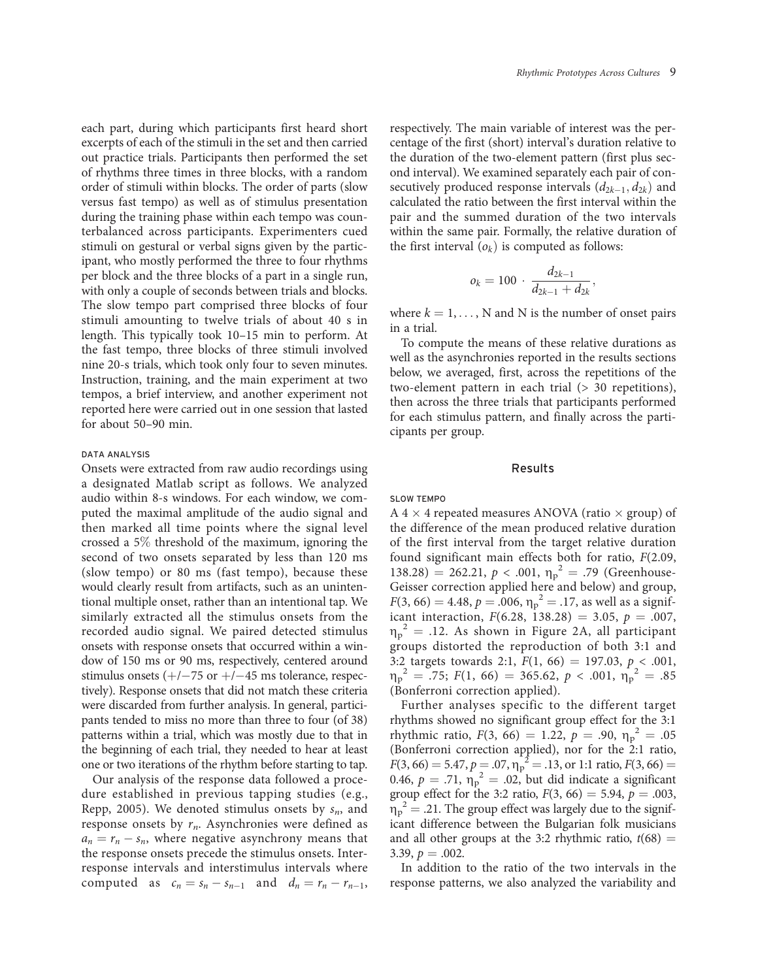each part, during which participants first heard short excerpts of each of the stimuli in the set and then carried out practice trials. Participants then performed the set of rhythms three times in three blocks, with a random order of stimuli within blocks. The order of parts (slow versus fast tempo) as well as of stimulus presentation during the training phase within each tempo was counterbalanced across participants. Experimenters cued stimuli on gestural or verbal signs given by the participant, who mostly performed the three to four rhythms per block and the three blocks of a part in a single run, with only a couple of seconds between trials and blocks. The slow tempo part comprised three blocks of four stimuli amounting to twelve trials of about 40 s in length. This typically took 10–15 min to perform. At the fast tempo, three blocks of three stimuli involved nine 20-s trials, which took only four to seven minutes. Instruction, training, and the main experiment at two tempos, a brief interview, and another experiment not reported here were carried out in one session that lasted for about 50–90 min.

#### DATA ANALYSIS

Onsets were extracted from raw audio recordings using a designated Matlab script as follows. We analyzed audio within 8-s windows. For each window, we computed the maximal amplitude of the audio signal and then marked all time points where the signal level crossed a 5% threshold of the maximum, ignoring the second of two onsets separated by less than 120 ms (slow tempo) or 80 ms (fast tempo), because these would clearly result from artifacts, such as an unintentional multiple onset, rather than an intentional tap. We similarly extracted all the stimulus onsets from the recorded audio signal. We paired detected stimulus onsets with response onsets that occurred within a window of 150 ms or 90 ms, respectively, centered around stimulus onsets  $\left(\frac{+}{-75} \text{ or } \frac{+}{-45} \text{ ms} \right)$  tolerance, respectively). Response onsets that did not match these criteria were discarded from further analysis. In general, participants tended to miss no more than three to four (of 38) patterns within a trial, which was mostly due to that in the beginning of each trial, they needed to hear at least one or two iterations of the rhythm before starting to tap.

Our analysis of the response data followed a procedure established in previous tapping studies (e.g., Repp, 2005). We denoted stimulus onsets by  $s_n$ , and response onsets by  $r_n$ . Asynchronies were defined as  $a_n = r_n - s_n$ , where negative asynchrony means that the response onsets precede the stimulus onsets. Interresponse intervals and interstimulus intervals where computed as  $c_n = s_n - s_{n-1}$  and  $d_n = r_n - r_{n-1}$ , respectively. The main variable of interest was the percentage of the first (short) interval's duration relative to the duration of the two-element pattern (first plus second interval). We examined separately each pair of consecutively produced response intervals  $(d_{2k-1}, d_{2k})$  and calculated the ratio between the first interval within the pair and the summed duration of the two intervals within the same pair. Formally, the relative duration of the first interval  $(o_k)$  is computed as follows:

$$
o_k = 100 \cdot \frac{d_{2k-1}}{d_{2k-1} + d_{2k}},
$$

where  $k = 1, \ldots, N$  and N is the number of onset pairs in a trial.

To compute the means of these relative durations as well as the asynchronies reported in the results sections below, we averaged, first, across the repetitions of the two-element pattern in each trial (> 30 repetitions), then across the three trials that participants performed for each stimulus pattern, and finally across the participants per group.

## Results

#### SLOW TEMPO

A 4  $\times$  4 repeated measures ANOVA (ratio  $\times$  group) of the difference of the mean produced relative duration of the first interval from the target relative duration found significant main effects both for ratio, F(2.09, 138.28) = 262.21,  $p < .001$ ,  $\eta_p^2 = .79$  (Greenhouse-Geisser correction applied here and below) and group,  $F(3, 66) = 4.48, p = .006, \eta_p^2 = .17$ , as well as a significant interaction,  $F(6.28, 138.28) = 3.05, p = .007$ ,  $\eta_p^2 = .12$ . As shown in Figure 2A, all participant groups distorted the reproduction of both 3:1 and 3:2 targets towards 2:1,  $F(1, 66) = 197.03, p < .001$ ,  $n_p^2 = .75; F(1, 66) = 365.62, p < .001, n_p^2 = .85$ (Bonferroni correction applied).

Further analyses specific to the different target rhythms showed no significant group effect for the 3:1 rhythmic ratio,  $F(3, 66) = 1.22, p = .90, \eta_p^2 = .05$ (Bonferroni correction applied), nor for the 2:1 ratio,  $F(3, 66) = 5.47, p = .07, \eta_p^2 = .13, \text{ or } 1:1 \text{ ratio}, F(3, 66) =$ 0.46,  $p = .71$ ,  $\eta_p^2 = .02$ , but did indicate a significant group effect for the 3:2 ratio,  $F(3, 66) = 5.94$ ,  $p = .003$ ,  $\overline{\eta_p}^2 = .21$ . The group effect was largely due to the significant difference between the Bulgarian folk musicians and all other groups at the 3:2 rhythmic ratio,  $t(68) =$ 3.39,  $p = .002$ .

In addition to the ratio of the two intervals in the response patterns, we also analyzed the variability and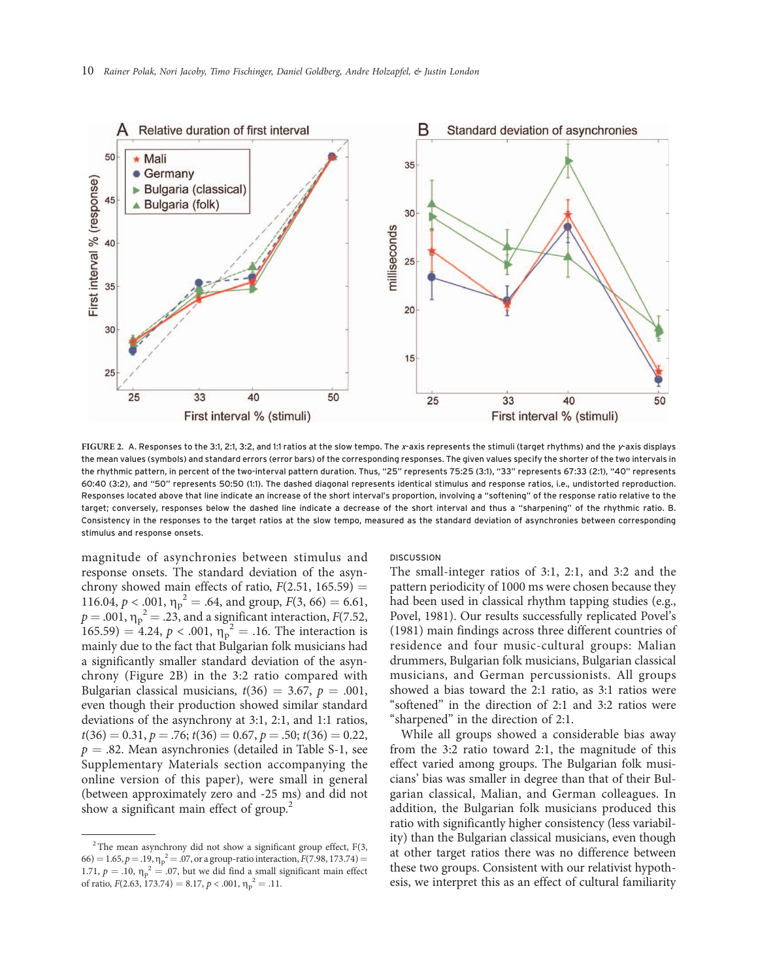

FIGURE 2. A. Responses to the 3:1, 2:1, 3:2, and 1:1 ratios at the slow tempo. The x-axis represents the stimuli (target rhythms) and the y-axis displays the mean values (symbols) and standard errors (error bars) of the corresponding responses. The given values specify the shorter of the two intervals in the rhythmic pattern, in percent of the two-interval pattern duration. Thus, "25" represents 75:25 (3:1), "33" represents 67:33 (2:1), "40" represents 60:40 (3:2), and "50" represents 50:50 (1:1). The dashed diagonal represents identical stimulus and response ratios, i.e., undistorted reproduction. Responses located above that line indicate an increase of the short interval's proportion, involving a "softening" of the response ratio relative to the target; conversely, responses below the dashed line indicate a decrease of the short interval and thus a "sharpening" of the rhythmic ratio. B. Consistency in the responses to the target ratios at the slow tempo, measured as the standard deviation of asynchronies between corresponding stimulus and response onsets.

magnitude of asynchronies between stimulus and response onsets. The standard deviation of the asynchrony showed main effects of ratio,  $F(2.51, 165.59) =$ 116.04,  $p < .001$ ,  $\eta_p^2 = .64$ , and group,  $F(3, 66) = 6.61$ ,  $p = .001$ ,  $\eta_p^2 = .23$ , and a significant interaction,  $F(7.52)$ ,  $(165.59) = 4.24, p < .001, \eta_p^2 = .16$ . The interaction is mainly due to the fact that Bulgarian folk musicians had a significantly smaller standard deviation of the asynchrony (Figure 2B) in the 3:2 ratio compared with Bulgarian classical musicians,  $t(36) = 3.67$ ,  $p = .001$ , even though their production showed similar standard deviations of the asynchrony at 3:1, 2:1, and 1:1 ratios,  $t(36) = 0.31, p = .76; t(36) = 0.67, p = .50; t(36) = 0.22,$  $p = .82$ . Mean asynchronies (detailed in Table S-1, see Supplementary Materials section accompanying the online version of this paper), were small in general (between approximately zero and -25 ms) and did not show a significant main effect of group.<sup>2</sup>

DISCUSSION

The small-integer ratios of 3:1, 2:1, and 3:2 and the pattern periodicity of 1000 ms were chosen because they had been used in classical rhythm tapping studies (e.g., Povel, 1981). Our results successfully replicated Povel's (1981) main findings across three different countries of residence and four music-cultural groups: Malian drummers, Bulgarian folk musicians, Bulgarian classical musicians, and German percussionists. All groups showed a bias toward the 2:1 ratio, as 3:1 ratios were "softened" in the direction of 2:1 and 3:2 ratios were "sharpened" in the direction of 2:1.

While all groups showed a considerable bias away from the 3:2 ratio toward 2:1, the magnitude of this effect varied among groups. The Bulgarian folk musicians' bias was smaller in degree than that of their Bulgarian classical, Malian, and German colleagues. In addition, the Bulgarian folk musicians produced this ratio with significantly higher consistency (less variability) than the Bulgarian classical musicians, even though at other target ratios there was no difference between these two groups. Consistent with our relativist hypothesis, we interpret this as an effect of cultural familiarity

 $2$ <sup>2</sup> The mean asynchrony did not show a significant group effect, F(3, 66) = 1.65,  $p = .19$ ,  $\eta_p^2 = .07$ , or a group-ratio interaction,  $F(7.98, 173.74) =$ 1.71,  $p = .10$ ,  $\eta_p^2 = .07$ , but we did find a small significant main effect of ratio,  $F(2.63, 173.74) = 8.17, p < .001, \eta_p^2 = .11$ .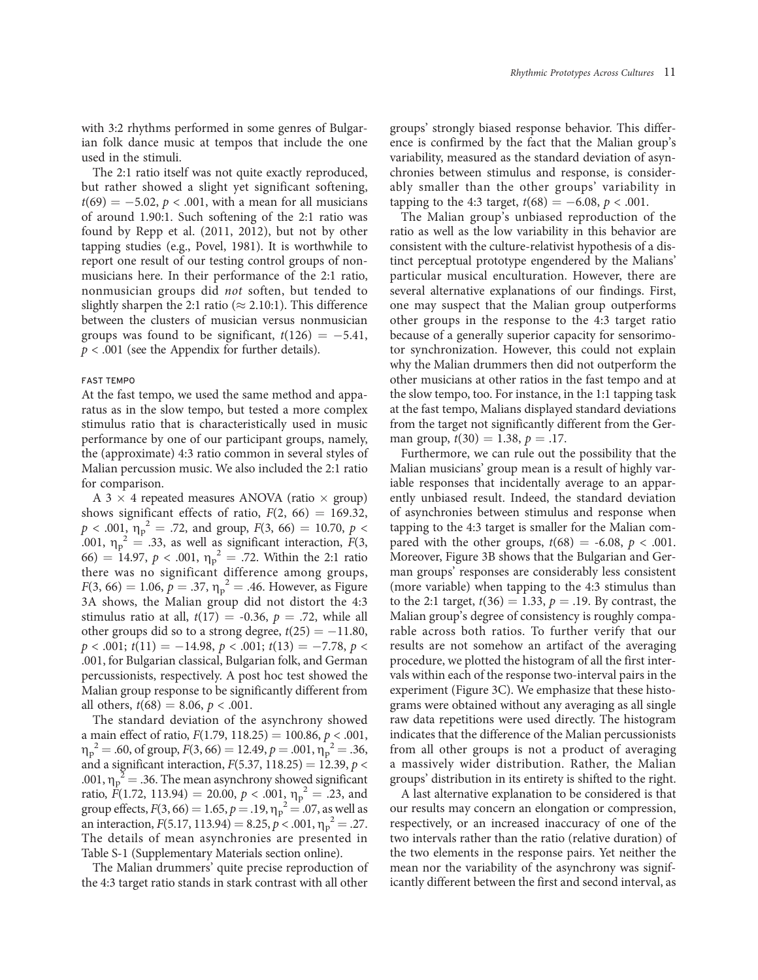with 3:2 rhythms performed in some genres of Bulgarian folk dance music at tempos that include the one used in the stimuli.

The 2:1 ratio itself was not quite exactly reproduced, but rather showed a slight yet significant softening,  $t(69) = -5.02$ ,  $p < .001$ , with a mean for all musicians of around 1.90:1. Such softening of the 2:1 ratio was found by Repp et al. (2011, 2012), but not by other tapping studies (e.g., Povel, 1981). It is worthwhile to report one result of our testing control groups of nonmusicians here. In their performance of the 2:1 ratio, nonmusician groups did not soften, but tended to slightly sharpen the 2:1 ratio ( $\approx$  2.10:1). This difference between the clusters of musician versus nonmusician groups was found to be significant,  $t(126) = -5.41$ ,  $p < .001$  (see the Appendix for further details).

## FAST TEMPO

At the fast tempo, we used the same method and apparatus as in the slow tempo, but tested a more complex stimulus ratio that is characteristically used in music performance by one of our participant groups, namely, the (approximate) 4:3 ratio common in several styles of Malian percussion music. We also included the 2:1 ratio for comparison.

A 3  $\times$  4 repeated measures ANOVA (ratio  $\times$  group) shows significant effects of ratio,  $F(2, 66) = 169.32$ ,  $p < .001$ ,  $\eta_p^2 = .72$ , and group,  $F(3, 66) = 10.70$ ,  $p <$ .001,  $\eta_p^2 = .33$ , as well as significant interaction,  $F(3, 1)$ 66) = 14.97,  $p < .001$ ,  $\eta_p^2 = .72$ . Within the 2:1 ratio there was no significant difference among groups,  $F(3, 66) = 1.06, p = .37, \eta_p^2 = .46$ . However, as Figure 3A shows, the Malian group did not distort the 4:3 stimulus ratio at all,  $t(17) = -0.36$ ,  $p = .72$ , while all other groups did so to a strong degree,  $t(25) = -11.80$ ,  $p < .001$ ;  $t(11) = -14.98$ ,  $p < .001$ ;  $t(13) = -7.78$ ,  $p <$ .001, for Bulgarian classical, Bulgarian folk, and German percussionists, respectively. A post hoc test showed the Malian group response to be significantly different from all others,  $t(68) = 8.06$ ,  $p < .001$ .

The standard deviation of the asynchrony showed a main effect of ratio,  $F(1.79, 118.25) = 100.86, p < .001$ ,  $n_p^2 = .60$ , of group,  $F(3, 66) = 12.49$ ,  $p = .001$ ,  $n_p^2 = .36$ , and a significant interaction,  $F(5.37, 118.25) = 12.39, p <$ .001,  $\eta_p^2$  = .36. The mean asynchrony showed significant ratio,  $F(1.72, 113.94) = 20.00, p < .001, \eta_p^2 = .23$ , and group effects,  $F(3, 66) = 1.65, p = .19, \eta_p^2 = .07$ , as well as an interaction,  $F(5.17, 113.94) = 8.25, p < .001, \eta_p^2 = .27$ . The details of mean asynchronies are presented in Table S-1 (Supplementary Materials section online).

The Malian drummers' quite precise reproduction of the 4:3 target ratio stands in stark contrast with all other

groups' strongly biased response behavior. This difference is confirmed by the fact that the Malian group's variability, measured as the standard deviation of asynchronies between stimulus and response, is considerably smaller than the other groups' variability in tapping to the 4:3 target,  $t(68) = -6.08$ ,  $p < .001$ .

The Malian group's unbiased reproduction of the ratio as well as the low variability in this behavior are consistent with the culture-relativist hypothesis of a distinct perceptual prototype engendered by the Malians' particular musical enculturation. However, there are several alternative explanations of our findings. First, one may suspect that the Malian group outperforms other groups in the response to the 4:3 target ratio because of a generally superior capacity for sensorimotor synchronization. However, this could not explain why the Malian drummers then did not outperform the other musicians at other ratios in the fast tempo and at the slow tempo, too. For instance, in the 1:1 tapping task at the fast tempo, Malians displayed standard deviations from the target not significantly different from the German group,  $t(30) = 1.38$ ,  $p = .17$ .

Furthermore, we can rule out the possibility that the Malian musicians' group mean is a result of highly variable responses that incidentally average to an apparently unbiased result. Indeed, the standard deviation of asynchronies between stimulus and response when tapping to the 4:3 target is smaller for the Malian compared with the other groups,  $t(68) = -6.08$ ,  $p < .001$ . Moreover, Figure 3B shows that the Bulgarian and German groups' responses are considerably less consistent (more variable) when tapping to the 4:3 stimulus than to the 2:1 target,  $t(36) = 1.33$ ,  $p = .19$ . By contrast, the Malian group's degree of consistency is roughly comparable across both ratios. To further verify that our results are not somehow an artifact of the averaging procedure, we plotted the histogram of all the first intervals within each of the response two-interval pairs in the experiment (Figure 3C). We emphasize that these histograms were obtained without any averaging as all single raw data repetitions were used directly. The histogram indicates that the difference of the Malian percussionists from all other groups is not a product of averaging a massively wider distribution. Rather, the Malian groups' distribution in its entirety is shifted to the right.

A last alternative explanation to be considered is that our results may concern an elongation or compression, respectively, or an increased inaccuracy of one of the two intervals rather than the ratio (relative duration) of the two elements in the response pairs. Yet neither the mean nor the variability of the asynchrony was significantly different between the first and second interval, as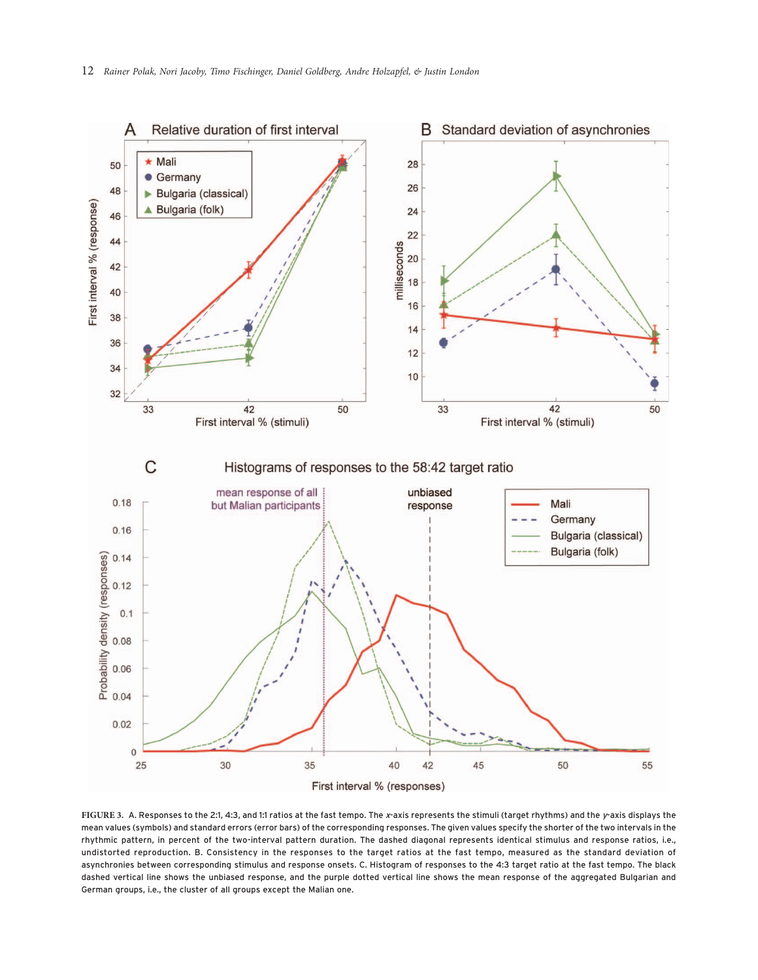

FIGURE 3. A. Responses to the 2:1, 4:3, and 1:1 ratios at the fast tempo. The x-axis represents the stimuli (target rhythms) and the y-axis displays the mean values (symbols) and standard errors (error bars) of the corresponding responses. The given values specify the shorter of the two intervals in the rhythmic pattern, in percent of the two-interval pattern duration. The dashed diagonal represents identical stimulus and response ratios, i.e., undistorted reproduction. B. Consistency in the responses to the target ratios at the fast tempo, measured as the standard deviation of asynchronies between corresponding stimulus and response onsets. C. Histogram of responses to the 4:3 target ratio at the fast tempo. The black dashed vertical line shows the unbiased response, and the purple dotted vertical line shows the mean response of the aggregated Bulgarian and German groups, i.e., the cluster of all groups except the Malian one.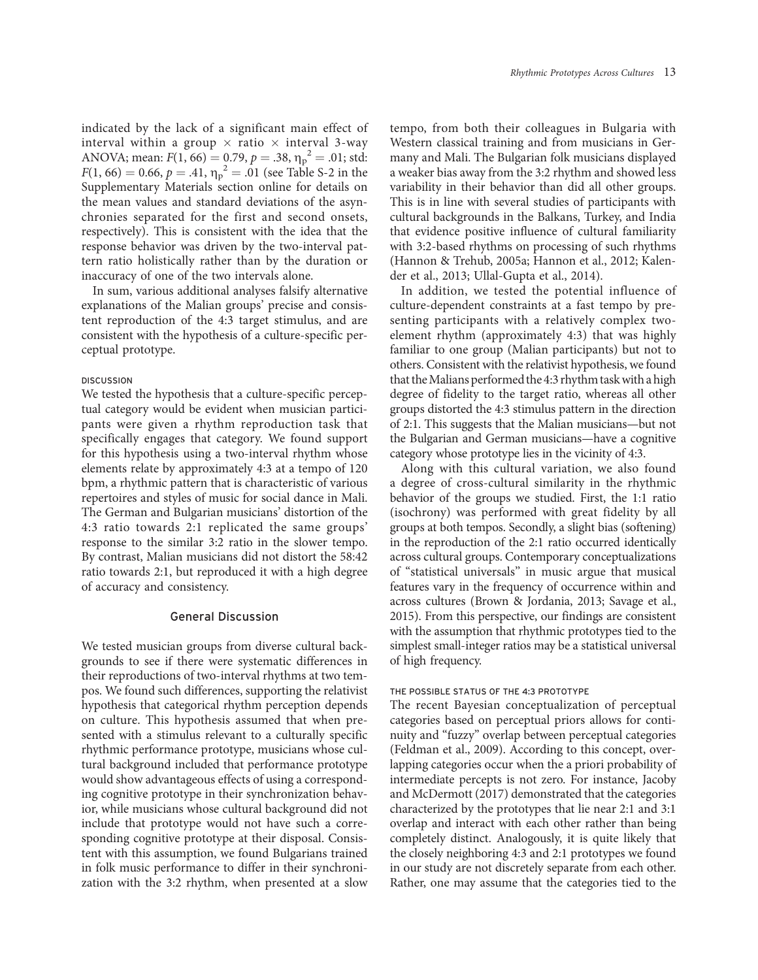indicated by the lack of a significant main effect of interval within a group  $\times$  ratio  $\times$  interval 3-way ANOVA; mean:  $F(1, 66) = 0.79$ ,  $p = .38$ ,  $\eta_p^2 = .01$ ; std:  $F(1, 66) = 0.66, p = .41, \eta_p^2 = .01$  (see Table S-2 in the Supplementary Materials section online for details on the mean values and standard deviations of the asynchronies separated for the first and second onsets, respectively). This is consistent with the idea that the response behavior was driven by the two-interval pattern ratio holistically rather than by the duration or inaccuracy of one of the two intervals alone.

In sum, various additional analyses falsify alternative explanations of the Malian groups' precise and consistent reproduction of the 4:3 target stimulus, and are consistent with the hypothesis of a culture-specific perceptual prototype.

## DISCUSSION

We tested the hypothesis that a culture-specific perceptual category would be evident when musician participants were given a rhythm reproduction task that specifically engages that category. We found support for this hypothesis using a two-interval rhythm whose elements relate by approximately 4:3 at a tempo of 120 bpm, a rhythmic pattern that is characteristic of various repertoires and styles of music for social dance in Mali. The German and Bulgarian musicians' distortion of the 4:3 ratio towards 2:1 replicated the same groups' response to the similar 3:2 ratio in the slower tempo. By contrast, Malian musicians did not distort the 58:42 ratio towards 2:1, but reproduced it with a high degree of accuracy and consistency.

#### General Discussion

We tested musician groups from diverse cultural backgrounds to see if there were systematic differences in their reproductions of two-interval rhythms at two tempos. We found such differences, supporting the relativist hypothesis that categorical rhythm perception depends on culture. This hypothesis assumed that when presented with a stimulus relevant to a culturally specific rhythmic performance prototype, musicians whose cultural background included that performance prototype would show advantageous effects of using a corresponding cognitive prototype in their synchronization behavior, while musicians whose cultural background did not include that prototype would not have such a corresponding cognitive prototype at their disposal. Consistent with this assumption, we found Bulgarians trained in folk music performance to differ in their synchronization with the 3:2 rhythm, when presented at a slow

tempo, from both their colleagues in Bulgaria with Western classical training and from musicians in Germany and Mali. The Bulgarian folk musicians displayed a weaker bias away from the 3:2 rhythm and showed less variability in their behavior than did all other groups. This is in line with several studies of participants with cultural backgrounds in the Balkans, Turkey, and India that evidence positive influence of cultural familiarity with 3:2-based rhythms on processing of such rhythms (Hannon & Trehub, 2005a; Hannon et al., 2012; Kalender et al., 2013; Ullal-Gupta et al., 2014).

In addition, we tested the potential influence of culture-dependent constraints at a fast tempo by presenting participants with a relatively complex twoelement rhythm (approximately 4:3) that was highly familiar to one group (Malian participants) but not to others. Consistent with the relativist hypothesis, we found that the Malians performed the 4:3 rhythm task with a high degree of fidelity to the target ratio, whereas all other groups distorted the 4:3 stimulus pattern in the direction of 2:1. This suggests that the Malian musicians—but not the Bulgarian and German musicians—have a cognitive category whose prototype lies in the vicinity of 4:3.

Along with this cultural variation, we also found a degree of cross-cultural similarity in the rhythmic behavior of the groups we studied. First, the 1:1 ratio (isochrony) was performed with great fidelity by all groups at both tempos. Secondly, a slight bias (softening) in the reproduction of the 2:1 ratio occurred identically across cultural groups. Contemporary conceptualizations of ''statistical universals'' in music argue that musical features vary in the frequency of occurrence within and across cultures (Brown & Jordania, 2013; Savage et al., 2015). From this perspective, our findings are consistent with the assumption that rhythmic prototypes tied to the simplest small-integer ratios may be a statistical universal of high frequency.

#### THE POSSIBLE STATUS OF THE 4:3 PROTOTYPE

The recent Bayesian conceptualization of perceptual categories based on perceptual priors allows for continuity and ''fuzzy'' overlap between perceptual categories (Feldman et al., 2009). According to this concept, overlapping categories occur when the a priori probability of intermediate percepts is not zero. For instance, Jacoby and McDermott (2017) demonstrated that the categories characterized by the prototypes that lie near 2:1 and 3:1 overlap and interact with each other rather than being completely distinct. Analogously, it is quite likely that the closely neighboring 4:3 and 2:1 prototypes we found in our study are not discretely separate from each other. Rather, one may assume that the categories tied to the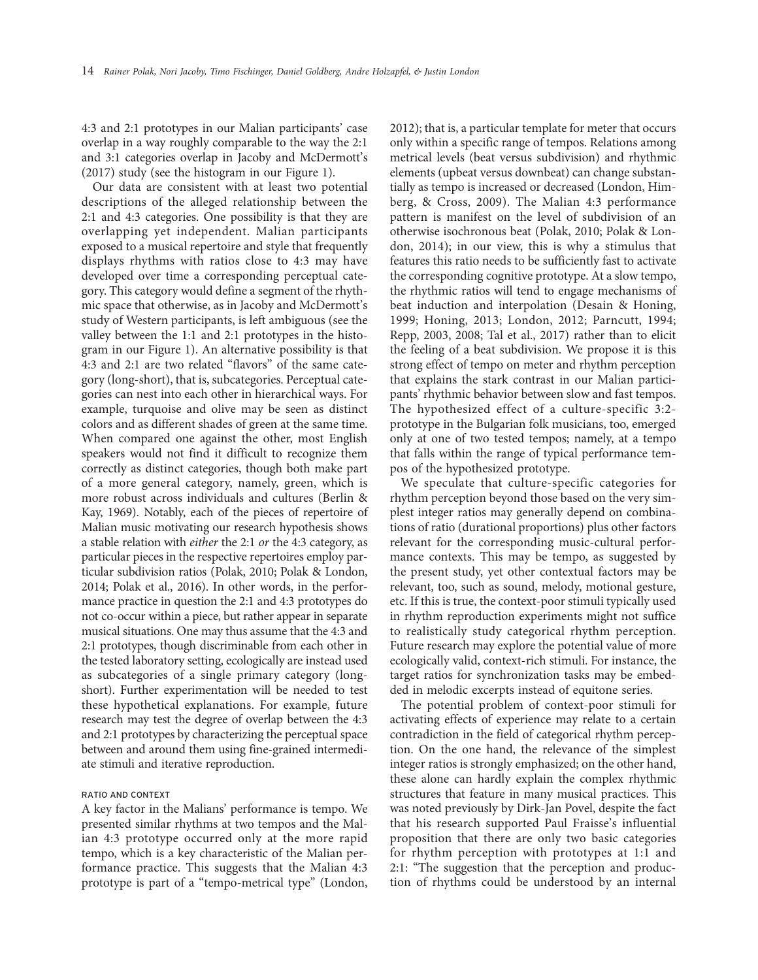4:3 and 2:1 prototypes in our Malian participants' case overlap in a way roughly comparable to the way the 2:1 and 3:1 categories overlap in Jacoby and McDermott's (2017) study (see the histogram in our Figure 1).

Our data are consistent with at least two potential descriptions of the alleged relationship between the 2:1 and 4:3 categories. One possibility is that they are overlapping yet independent. Malian participants exposed to a musical repertoire and style that frequently displays rhythms with ratios close to 4:3 may have developed over time a corresponding perceptual category. This category would define a segment of the rhythmic space that otherwise, as in Jacoby and McDermott's study of Western participants, is left ambiguous (see the valley between the 1:1 and 2:1 prototypes in the histogram in our Figure 1). An alternative possibility is that 4:3 and 2:1 are two related ''flavors'' of the same category (long-short), that is, subcategories. Perceptual categories can nest into each other in hierarchical ways. For example, turquoise and olive may be seen as distinct colors and as different shades of green at the same time. When compared one against the other, most English speakers would not find it difficult to recognize them correctly as distinct categories, though both make part of a more general category, namely, green, which is more robust across individuals and cultures (Berlin & Kay, 1969). Notably, each of the pieces of repertoire of Malian music motivating our research hypothesis shows a stable relation with either the 2:1 or the 4:3 category, as particular pieces in the respective repertoires employ particular subdivision ratios (Polak, 2010; Polak & London, 2014; Polak et al., 2016). In other words, in the performance practice in question the 2:1 and 4:3 prototypes do not co-occur within a piece, but rather appear in separate musical situations. One may thus assume that the 4:3 and 2:1 prototypes, though discriminable from each other in the tested laboratory setting, ecologically are instead used as subcategories of a single primary category (longshort). Further experimentation will be needed to test these hypothetical explanations. For example, future research may test the degree of overlap between the 4:3 and 2:1 prototypes by characterizing the perceptual space between and around them using fine-grained intermediate stimuli and iterative reproduction.

# RATIO AND CONTEXT

A key factor in the Malians' performance is tempo. We presented similar rhythms at two tempos and the Malian 4:3 prototype occurred only at the more rapid tempo, which is a key characteristic of the Malian performance practice. This suggests that the Malian 4:3 prototype is part of a "tempo-metrical type" (London, 2012); that is, a particular template for meter that occurs only within a specific range of tempos. Relations among metrical levels (beat versus subdivision) and rhythmic elements (upbeat versus downbeat) can change substantially as tempo is increased or decreased (London, Himberg, & Cross, 2009). The Malian 4:3 performance pattern is manifest on the level of subdivision of an otherwise isochronous beat (Polak, 2010; Polak & London, 2014); in our view, this is why a stimulus that features this ratio needs to be sufficiently fast to activate the corresponding cognitive prototype. At a slow tempo, the rhythmic ratios will tend to engage mechanisms of beat induction and interpolation (Desain & Honing, 1999; Honing, 2013; London, 2012; Parncutt, 1994; Repp, 2003, 2008; Tal et al., 2017) rather than to elicit the feeling of a beat subdivision. We propose it is this strong effect of tempo on meter and rhythm perception that explains the stark contrast in our Malian participants' rhythmic behavior between slow and fast tempos. The hypothesized effect of a culture-specific 3:2 prototype in the Bulgarian folk musicians, too, emerged only at one of two tested tempos; namely, at a tempo that falls within the range of typical performance tempos of the hypothesized prototype.

We speculate that culture-specific categories for rhythm perception beyond those based on the very simplest integer ratios may generally depend on combinations of ratio (durational proportions) plus other factors relevant for the corresponding music-cultural performance contexts. This may be tempo, as suggested by the present study, yet other contextual factors may be relevant, too, such as sound, melody, motional gesture, etc. If this is true, the context-poor stimuli typically used in rhythm reproduction experiments might not suffice to realistically study categorical rhythm perception. Future research may explore the potential value of more ecologically valid, context-rich stimuli. For instance, the target ratios for synchronization tasks may be embedded in melodic excerpts instead of equitone series.

The potential problem of context-poor stimuli for activating effects of experience may relate to a certain contradiction in the field of categorical rhythm perception. On the one hand, the relevance of the simplest integer ratios is strongly emphasized; on the other hand, these alone can hardly explain the complex rhythmic structures that feature in many musical practices. This was noted previously by Dirk-Jan Povel, despite the fact that his research supported Paul Fraisse's influential proposition that there are only two basic categories for rhythm perception with prototypes at 1:1 and 2:1: ''The suggestion that the perception and production of rhythms could be understood by an internal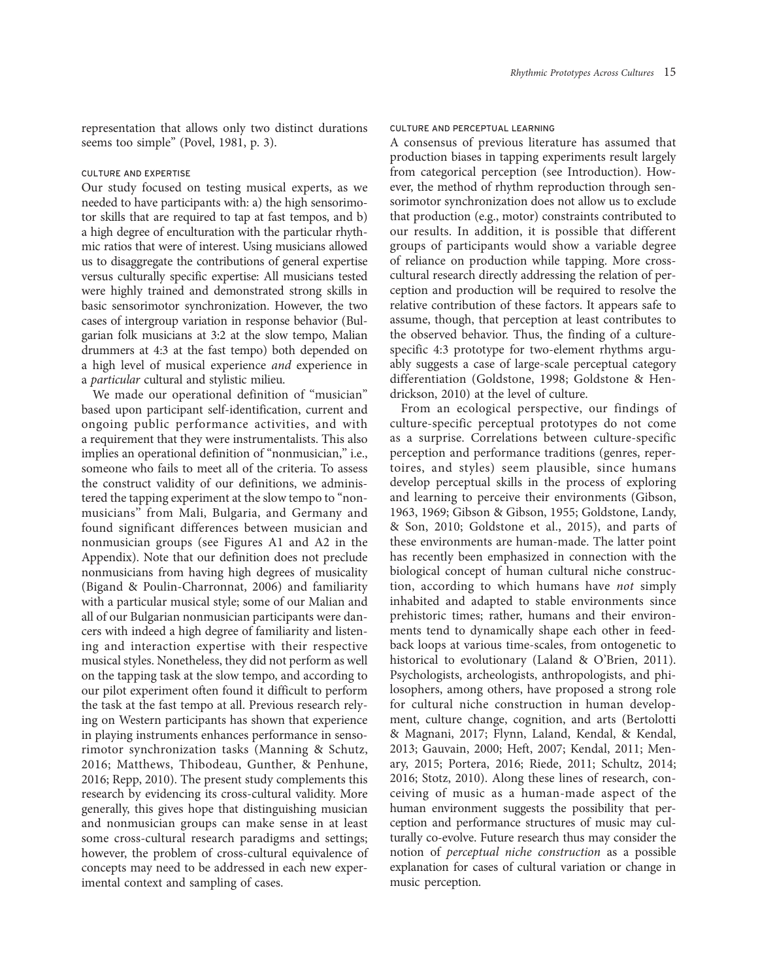representation that allows only two distinct durations seems too simple'' (Povel, 1981, p. 3).

## CULTURE AND EXPERTISE

Our study focused on testing musical experts, as we needed to have participants with: a) the high sensorimotor skills that are required to tap at fast tempos, and b) a high degree of enculturation with the particular rhythmic ratios that were of interest. Using musicians allowed us to disaggregate the contributions of general expertise versus culturally specific expertise: All musicians tested were highly trained and demonstrated strong skills in basic sensorimotor synchronization. However, the two cases of intergroup variation in response behavior (Bulgarian folk musicians at 3:2 at the slow tempo, Malian drummers at 4:3 at the fast tempo) both depended on a high level of musical experience and experience in a particular cultural and stylistic milieu.

We made our operational definition of "musician" based upon participant self-identification, current and ongoing public performance activities, and with a requirement that they were instrumentalists. This also implies an operational definition of "nonmusician," i.e., someone who fails to meet all of the criteria. To assess the construct validity of our definitions, we administered the tapping experiment at the slow tempo to ''nonmusicians'' from Mali, Bulgaria, and Germany and found significant differences between musician and nonmusician groups (see Figures A1 and A2 in the Appendix). Note that our definition does not preclude nonmusicians from having high degrees of musicality (Bigand & Poulin-Charronnat, 2006) and familiarity with a particular musical style; some of our Malian and all of our Bulgarian nonmusician participants were dancers with indeed a high degree of familiarity and listening and interaction expertise with their respective musical styles. Nonetheless, they did not perform as well on the tapping task at the slow tempo, and according to our pilot experiment often found it difficult to perform the task at the fast tempo at all. Previous research relying on Western participants has shown that experience in playing instruments enhances performance in sensorimotor synchronization tasks (Manning & Schutz, 2016; Matthews, Thibodeau, Gunther, & Penhune, 2016; Repp, 2010). The present study complements this research by evidencing its cross-cultural validity. More generally, this gives hope that distinguishing musician and nonmusician groups can make sense in at least some cross-cultural research paradigms and settings; however, the problem of cross-cultural equivalence of concepts may need to be addressed in each new experimental context and sampling of cases.

#### CULTURE AND PERCEPTUAL LEARNING

A consensus of previous literature has assumed that production biases in tapping experiments result largely from categorical perception (see Introduction). However, the method of rhythm reproduction through sensorimotor synchronization does not allow us to exclude that production (e.g., motor) constraints contributed to our results. In addition, it is possible that different groups of participants would show a variable degree of reliance on production while tapping. More crosscultural research directly addressing the relation of perception and production will be required to resolve the relative contribution of these factors. It appears safe to assume, though, that perception at least contributes to the observed behavior. Thus, the finding of a culturespecific 4:3 prototype for two-element rhythms arguably suggests a case of large-scale perceptual category differentiation (Goldstone, 1998; Goldstone & Hendrickson, 2010) at the level of culture.

From an ecological perspective, our findings of culture-specific perceptual prototypes do not come as a surprise. Correlations between culture-specific perception and performance traditions (genres, repertoires, and styles) seem plausible, since humans develop perceptual skills in the process of exploring and learning to perceive their environments (Gibson, 1963, 1969; Gibson & Gibson, 1955; Goldstone, Landy, & Son, 2010; Goldstone et al., 2015), and parts of these environments are human-made. The latter point has recently been emphasized in connection with the biological concept of human cultural niche construction, according to which humans have not simply inhabited and adapted to stable environments since prehistoric times; rather, humans and their environments tend to dynamically shape each other in feedback loops at various time-scales, from ontogenetic to historical to evolutionary (Laland & O'Brien, 2011). Psychologists, archeologists, anthropologists, and philosophers, among others, have proposed a strong role for cultural niche construction in human development, culture change, cognition, and arts (Bertolotti & Magnani, 2017; Flynn, Laland, Kendal, & Kendal, 2013; Gauvain, 2000; Heft, 2007; Kendal, 2011; Menary, 2015; Portera, 2016; Riede, 2011; Schultz, 2014; 2016; Stotz, 2010). Along these lines of research, conceiving of music as a human-made aspect of the human environment suggests the possibility that perception and performance structures of music may culturally co-evolve. Future research thus may consider the notion of perceptual niche construction as a possible explanation for cases of cultural variation or change in music perception.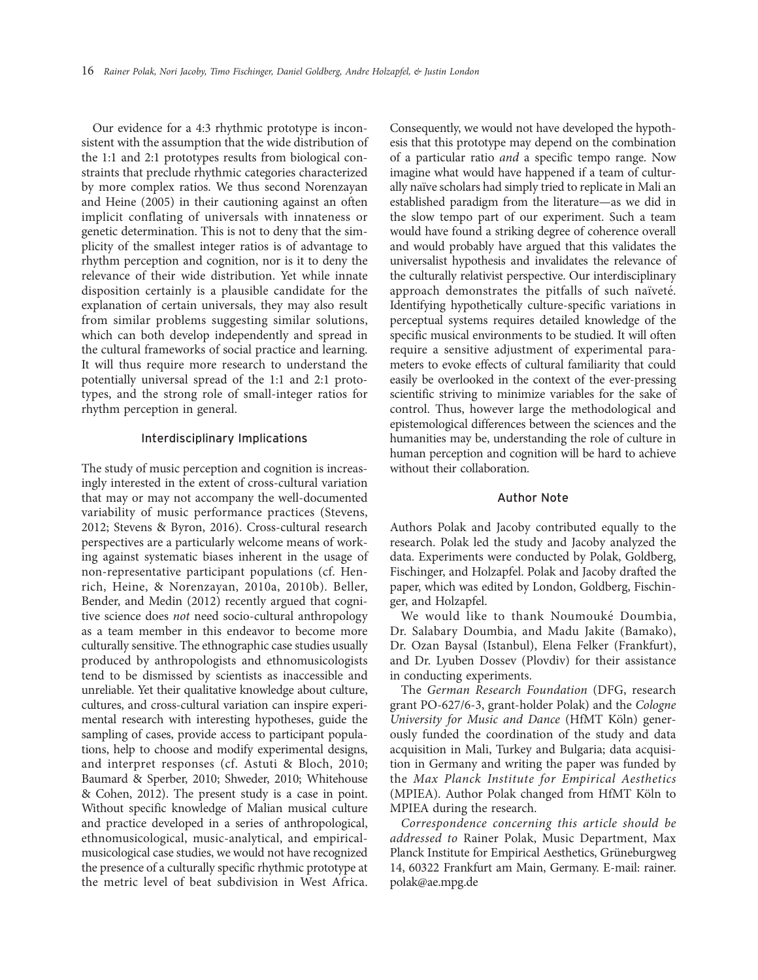Our evidence for a 4:3 rhythmic prototype is inconsistent with the assumption that the wide distribution of the 1:1 and 2:1 prototypes results from biological constraints that preclude rhythmic categories characterized by more complex ratios. We thus second Norenzayan and Heine (2005) in their cautioning against an often implicit conflating of universals with innateness or genetic determination. This is not to deny that the simplicity of the smallest integer ratios is of advantage to rhythm perception and cognition, nor is it to deny the relevance of their wide distribution. Yet while innate disposition certainly is a plausible candidate for the explanation of certain universals, they may also result from similar problems suggesting similar solutions, which can both develop independently and spread in the cultural frameworks of social practice and learning. It will thus require more research to understand the potentially universal spread of the 1:1 and 2:1 prototypes, and the strong role of small-integer ratios for rhythm perception in general.

### Interdisciplinary Implications

The study of music perception and cognition is increasingly interested in the extent of cross-cultural variation that may or may not accompany the well-documented variability of music performance practices (Stevens, 2012; Stevens & Byron, 2016). Cross-cultural research perspectives are a particularly welcome means of working against systematic biases inherent in the usage of non-representative participant populations (cf. Henrich, Heine, & Norenzayan, 2010a, 2010b). Beller, Bender, and Medin (2012) recently argued that cognitive science does not need socio-cultural anthropology as a team member in this endeavor to become more culturally sensitive. The ethnographic case studies usually produced by anthropologists and ethnomusicologists tend to be dismissed by scientists as inaccessible and unreliable. Yet their qualitative knowledge about culture, cultures, and cross-cultural variation can inspire experimental research with interesting hypotheses, guide the sampling of cases, provide access to participant populations, help to choose and modify experimental designs, and interpret responses (cf. Astuti & Bloch, 2010; Baumard & Sperber, 2010; Shweder, 2010; Whitehouse & Cohen, 2012). The present study is a case in point. Without specific knowledge of Malian musical culture and practice developed in a series of anthropological, ethnomusicological, music-analytical, and empiricalmusicological case studies, we would not have recognized the presence of a culturally specific rhythmic prototype at the metric level of beat subdivision in West Africa.

Consequently, we would not have developed the hypothesis that this prototype may depend on the combination of a particular ratio and a specific tempo range. Now imagine what would have happened if a team of culturally naïve scholars had simply tried to replicate in Mali an established paradigm from the literature—as we did in the slow tempo part of our experiment. Such a team would have found a striking degree of coherence overall and would probably have argued that this validates the universalist hypothesis and invalidates the relevance of the culturally relativist perspective. Our interdisciplinary approach demonstrates the pitfalls of such naïveté. Identifying hypothetically culture-specific variations in perceptual systems requires detailed knowledge of the specific musical environments to be studied. It will often require a sensitive adjustment of experimental parameters to evoke effects of cultural familiarity that could easily be overlooked in the context of the ever-pressing scientific striving to minimize variables for the sake of control. Thus, however large the methodological and epistemological differences between the sciences and the humanities may be, understanding the role of culture in human perception and cognition will be hard to achieve without their collaboration.

## Author Note

Authors Polak and Jacoby contributed equally to the research. Polak led the study and Jacoby analyzed the data. Experiments were conducted by Polak, Goldberg, Fischinger, and Holzapfel. Polak and Jacoby drafted the paper, which was edited by London, Goldberg, Fischinger, and Holzapfel.

We would like to thank Noumouké Doumbia, Dr. Salabary Doumbia, and Madu Jakite (Bamako), Dr. Ozan Baysal (Istanbul), Elena Felker (Frankfurt), and Dr. Lyuben Dossev (Plovdiv) for their assistance in conducting experiments.

The German Research Foundation (DFG, research grant PO-627/6-3, grant-holder Polak) and the Cologne University for Music and Dance (HfMT Köln) generously funded the coordination of the study and data acquisition in Mali, Turkey and Bulgaria; data acquisition in Germany and writing the paper was funded by the Max Planck Institute for Empirical Aesthetics (MPIEA). Author Polak changed from HfMT Köln to MPIEA during the research.

Correspondence concerning this article should be addressed to Rainer Polak, Music Department, Max Planck Institute for Empirical Aesthetics, Grüneburgweg 14, 60322 Frankfurt am Main, Germany. E-mail: rainer. polak@ae.mpg.de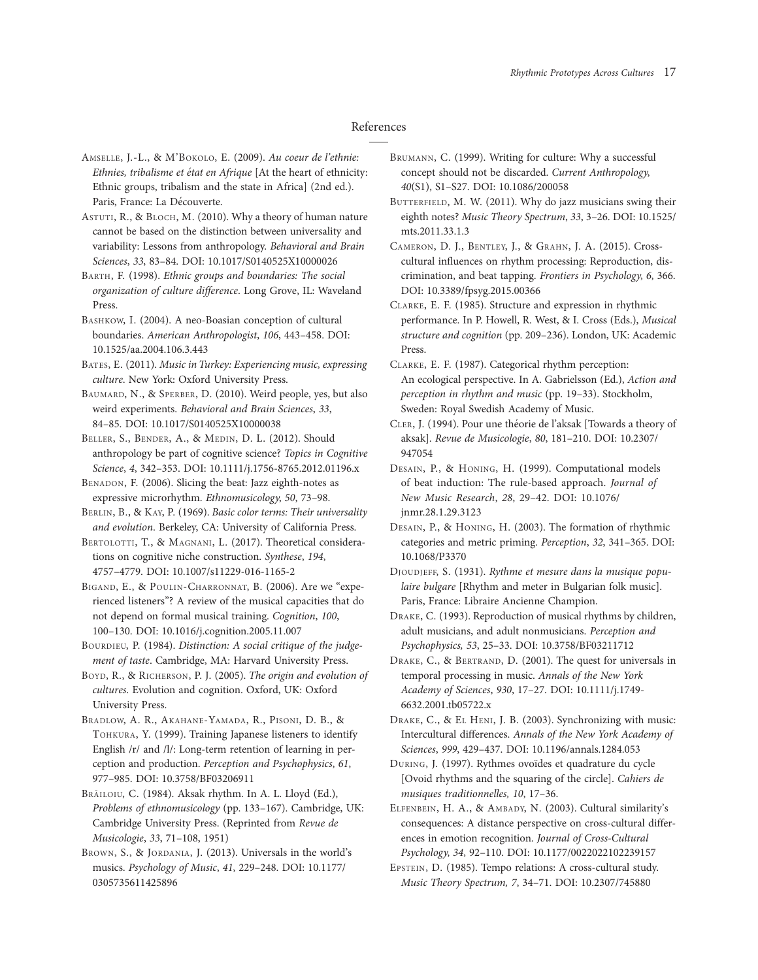## References

AMSELLE, J.-L., & M'BOKOLO, E. (2009). Au coeur de l'ethnie: Ethnies, tribalisme et état en Afrique [At the heart of ethnicity: Ethnic groups, tribalism and the state in Africa] (2nd ed.). Paris, France: La Découverte.

ASTUTI, R., & BLOCH, M. (2010). Why a theory of human nature cannot be based on the distinction between universality and variability: Lessons from anthropology. Behavioral and Brain Sciences, 33, 83–84. DOI: 10.1017/S0140525X10000026

BARTH, F. (1998). Ethnic groups and boundaries: The social organization of culture difference. Long Grove, IL: Waveland Press.

BASHKOW, I. (2004). A neo-Boasian conception of cultural boundaries. American Anthropologist, 106, 443–458. DOI: 10.1525/aa.2004.106.3.443

BATES, E. (2011). Music in Turkey: Experiencing music, expressing culture. New York: Oxford University Press.

BAUMARD, N., & SPERBER, D. (2010). Weird people, yes, but also weird experiments. Behavioral and Brain Sciences, 33, 84–85. DOI: 10.1017/S0140525X10000038

BELLER, S., BENDER, A., & MEDIN, D. L. (2012). Should anthropology be part of cognitive science? Topics in Cognitive Science, 4, 342–353. DOI: 10.1111/j.1756-8765.2012.01196.x

BENADON, F. (2006). Slicing the beat: Jazz eighth-notes as expressive microrhythm. Ethnomusicology, 50, 73–98.

BERLIN, B., & KAY, P. (1969). Basic color terms: Their universality and evolution. Berkeley, CA: University of California Press.

BERTOLOTTI, T., & MAGNANI, L. (2017). Theoretical considerations on cognitive niche construction. Synthese, 194, 4757–4779. DOI: 10.1007/s11229-016-1165-2

BIGAND, E., & POULIN-CHARRONNAT, B. (2006). Are we "experienced listeners''? A review of the musical capacities that do not depend on formal musical training. Cognition, 100, 100–130. DOI: 10.1016/j.cognition.2005.11.007

BOURDIEU, P. (1984). Distinction: A social critique of the judgement of taste. Cambridge, MA: Harvard University Press.

BOYD, R., & RICHERSON, P. J. (2005). The origin and evolution of cultures. Evolution and cognition. Oxford, UK: Oxford University Press.

BRADLOW, A. R., AKAHANE-YAMADA, R., PISONI, D. B., & TOHKURA, Y. (1999). Training Japanese listeners to identify English /r/ and /l/: Long-term retention of learning in perception and production. Perception and Psychophysics, 61, 977–985. DOI: 10.3758/BF03206911

BRĂILOIU, C. (1984). Aksak rhythm. In A. L. Lloyd (Ed.), Problems of ethnomusicology (pp. 133–167). Cambridge, UK: Cambridge University Press. (Reprinted from Revue de Musicologie, 33, 71–108, 1951)

BROWN, S., & JORDANIA, J. (2013). Universals in the world's musics. Psychology of Music, 41, 229–248. DOI: 10.1177/ 0305735611425896

BRUMANN, C. (1999). Writing for culture: Why a successful concept should not be discarded. Current Anthropology, 40(S1), S1–S27. DOI: 10.1086/200058

BUTTERFIELD, M. W. (2011). Why do jazz musicians swing their eighth notes? Music Theory Spectrum, 33, 3–26. DOI: 10.1525/ mts.2011.33.1.3

CAMERON, D. J., BENTLEY, J., & GRAHN, J. A. (2015). Crosscultural influences on rhythm processing: Reproduction, discrimination, and beat tapping. Frontiers in Psychology, 6, 366. DOI: 10.3389/fpsyg.2015.00366

CLARKE, E. F. (1985). Structure and expression in rhythmic performance. In P. Howell, R. West, & I. Cross (Eds.), Musical structure and cognition (pp. 209–236). London, UK: Academic Press.

CLARKE, E. F. (1987). Categorical rhythm perception: An ecological perspective. In A. Gabrielsson (Ed.), Action and perception in rhythm and music (pp. 19–33). Stockholm, Sweden: Royal Swedish Academy of Music.

CLER, J. (1994). Pour une théorie de l'aksak [Towards a theory of aksak]. Revue de Musicologie, 80, 181–210. DOI: 10.2307/ 947054

DESAIN, P., & HONING, H. (1999). Computational models of beat induction: The rule-based approach. Journal of New Music Research, 28, 29–42. DOI: 10.1076/ jnmr.28.1.29.3123

DESAIN, P., & HONING, H. (2003). The formation of rhythmic categories and metric priming. Perception, 32, 341–365. DOI: 10.1068/P3370

DJOUDJEFF, S. (1931). Rythme et mesure dans la musique populaire bulgare [Rhythm and meter in Bulgarian folk music]. Paris, France: Libraire Ancienne Champion.

DRAKE, C. (1993). Reproduction of musical rhythms by children, adult musicians, and adult nonmusicians. Perception and Psychophysics, 53, 25–33. DOI: 10.3758/BF03211712

DRAKE, C., & BERTRAND, D. (2001). The quest for universals in temporal processing in music. Annals of the New York Academy of Sciences, 930, 17–27. DOI: 10.1111/j.1749- 6632.2001.tb05722.x

DRAKE, C., & EL HENI, J. B. (2003). Synchronizing with music: Intercultural differences. Annals of the New York Academy of Sciences, 999, 429–437. DOI: 10.1196/annals.1284.053

DURING, J. (1997). Rythmes ovoïdes et quadrature du cycle [Ovoid rhythms and the squaring of the circle]. Cahiers de musiques traditionnelles, 10, 17–36.

ELFENBEIN, H. A., & AMBADY, N. (2003). Cultural similarity's consequences: A distance perspective on cross-cultural differences in emotion recognition. Journal of Cross-Cultural Psychology, 34, 92–110. DOI: 10.1177/0022022102239157

EPSTEIN, D. (1985). Tempo relations: A cross-cultural study. Music Theory Spectrum, 7, 34–71. DOI: 10.2307/745880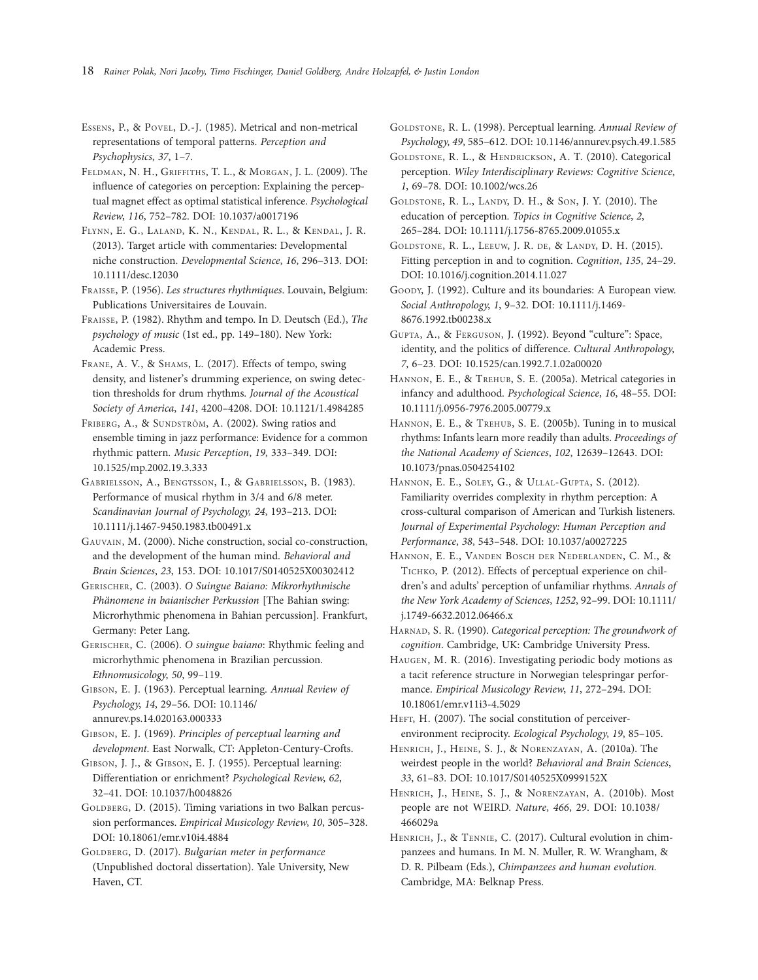ESSENS, P., & POVEL, D.-J. (1985). Metrical and non-metrical representations of temporal patterns. Perception and Psychophysics, 37, 1–7.

FELDMAN, N. H., GRIFFITHS, T. L., & MORGAN, J. L. (2009). The influence of categories on perception: Explaining the perceptual magnet effect as optimal statistical inference. Psychological Review, 116, 752–782. DOI: 10.1037/a0017196

FLYNN, E. G., LALAND, K. N., KENDAL, R. L., & KENDAL, J. R. (2013). Target article with commentaries: Developmental niche construction. Developmental Science, 16, 296–313. DOI: 10.1111/desc.12030

FRAISSE, P. (1956). Les structures rhythmiques. Louvain, Belgium: Publications Universitaires de Louvain.

FRAISSE, P. (1982). Rhythm and tempo. In D. Deutsch (Ed.), The psychology of music (1st ed., pp. 149–180). New York: Academic Press.

FRANE, A. V., & SHAMS, L. (2017). Effects of tempo, swing density, and listener's drumming experience, on swing detection thresholds for drum rhythms. Journal of the Acoustical Society of America, 141, 4200–4208. DOI: 10.1121/1.4984285

FRIBERG, A., & SUNDSTRÖM, A. (2002). Swing ratios and ensemble timing in jazz performance: Evidence for a common rhythmic pattern. Music Perception, 19, 333–349. DOI: 10.1525/mp.2002.19.3.333

GABRIELSSON, A., BENGTSSON, I., & GABRIELSSON, B. (1983). Performance of musical rhythm in 3/4 and 6/8 meter. Scandinavian Journal of Psychology, 24, 193–213. DOI: 10.1111/j.1467-9450.1983.tb00491.x

GAUVAIN, M. (2000). Niche construction, social co-construction, and the development of the human mind. Behavioral and Brain Sciences, 23, 153. DOI: 10.1017/S0140525X00302412

GERISCHER, C. (2003). O Suingue Baiano: Mikrorhythmische Phänomene in baianischer Perkussion [The Bahian swing: Microrhythmic phenomena in Bahian percussion]. Frankfurt, Germany: Peter Lang.

GERISCHER, C. (2006). O suingue baiano: Rhythmic feeling and microrhythmic phenomena in Brazilian percussion. Ethnomusicology, 50, 99–119.

GIBSON, E. J. (1963). Perceptual learning. Annual Review of Psychology, 14, 29–56. DOI: 10.1146/ annurev.ps.14.020163.000333

GIBSON, E. J. (1969). Principles of perceptual learning and development. East Norwalk, CT: Appleton-Century-Crofts.

GIBSON, J. J., & GIBSON, E. J. (1955). Perceptual learning: Differentiation or enrichment? Psychological Review, 62, 32–41. DOI: 10.1037/h0048826

GOLDBERG, D. (2015). Timing variations in two Balkan percussion performances. Empirical Musicology Review, 10, 305–328. DOI: 10.18061/emr.v10i4.4884

GOLDBERG, D. (2017). Bulgarian meter in performance (Unpublished doctoral dissertation). Yale University, New Haven, CT.

GOLDSTONE, R. L. (1998). Perceptual learning. Annual Review of Psychology, 49, 585–612. DOI: 10.1146/annurev.psych.49.1.585

GOLDSTONE, R. L., & HENDRICKSON, A. T. (2010). Categorical perception. Wiley Interdisciplinary Reviews: Cognitive Science, 1, 69–78. DOI: 10.1002/wcs.26

GOLDSTONE, R. L., LANDY, D. H., & SON, J. Y. (2010). The education of perception. Topics in Cognitive Science, 2, 265–284. DOI: 10.1111/j.1756-8765.2009.01055.x

GOLDSTONE, R. L., LEEUW, J. R. DE,&LANDY, D. H. (2015). Fitting perception in and to cognition. Cognition, 135, 24–29. DOI: 10.1016/j.cognition.2014.11.027

GOODY, J. (1992). Culture and its boundaries: A European view. Social Anthropology, 1, 9–32. DOI: 10.1111/j.1469- 8676.1992.tb00238.x

GUPTA, A., & FERGUSON, J. (1992). Beyond ''culture'': Space, identity, and the politics of difference. Cultural Anthropology, 7, 6–23. DOI: 10.1525/can.1992.7.1.02a00020

HANNON, E. E., & TREHUB, S. E. (2005a). Metrical categories in infancy and adulthood. Psychological Science, 16, 48–55. DOI: 10.1111/j.0956-7976.2005.00779.x

HANNON, E. E., & TREHUB, S. E. (2005b). Tuning in to musical rhythms: Infants learn more readily than adults. Proceedings of the National Academy of Sciences, 102, 12639–12643. DOI: 10.1073/pnas.0504254102

HANNON, E. E., SOLEY, G., & ULLAL-GUPTA, S. (2012). Familiarity overrides complexity in rhythm perception: A cross-cultural comparison of American and Turkish listeners. Journal of Experimental Psychology: Human Perception and Performance, 38, 543–548. DOI: 10.1037/a0027225

HANNON, E. E., VANDEN BOSCH DER NEDERLANDEN, C. M., & TICHKO, P. (2012). Effects of perceptual experience on children's and adults' perception of unfamiliar rhythms. Annals of the New York Academy of Sciences, 1252, 92–99. DOI: 10.1111/ j.1749-6632.2012.06466.x

HARNAD, S. R. (1990). Categorical perception: The groundwork of cognition. Cambridge, UK: Cambridge University Press.

HAUGEN, M. R. (2016). Investigating periodic body motions as a tacit reference structure in Norwegian telespringar performance. Empirical Musicology Review, 11, 272–294. DOI: 10.18061/emr.v11i3-4.5029

HEFT, H. (2007). The social constitution of perceiverenvironment reciprocity. Ecological Psychology, 19, 85–105.

HENRICH, J., HEINE, S. J., & NORENZAYAN, A. (2010a). The weirdest people in the world? Behavioral and Brain Sciences, 33, 61–83. DOI: 10.1017/S0140525X0999152X

HENRICH, J., HEINE, S. J., & NORENZAYAN, A. (2010b). Most people are not WEIRD. Nature, 466, 29. DOI: 10.1038/ 466029a

HENRICH, J., & TENNIE, C. (2017). Cultural evolution in chimpanzees and humans. In M. N. Muller, R. W. Wrangham, & D. R. Pilbeam (Eds.), Chimpanzees and human evolution. Cambridge, MA: Belknap Press.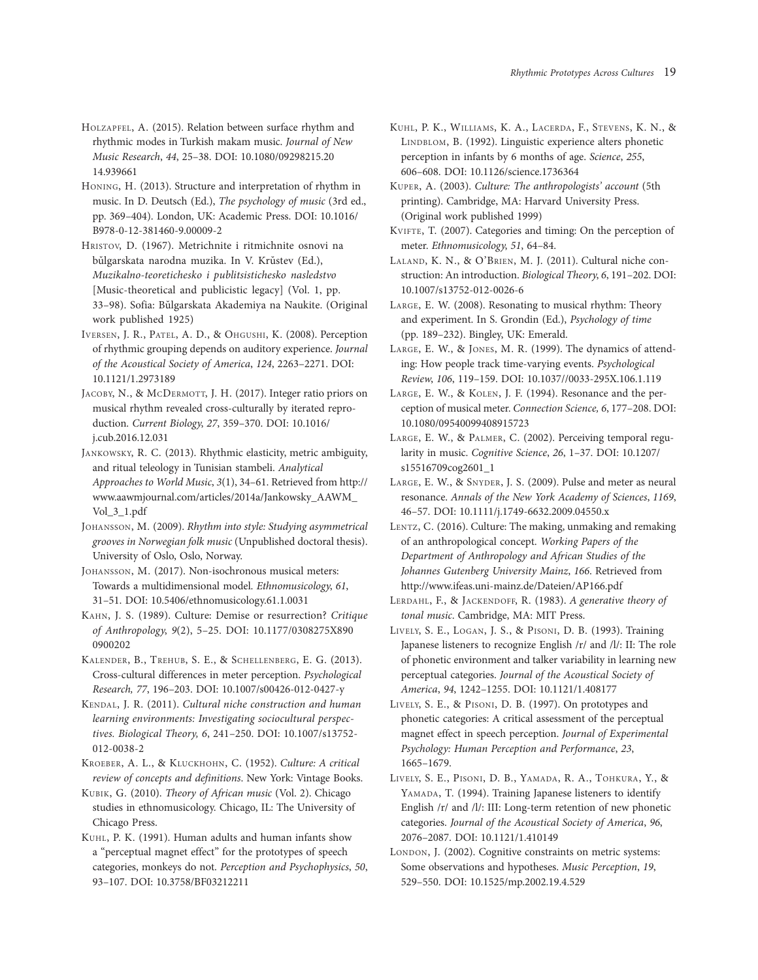HOLZAPFEL, A. (2015). Relation between surface rhythm and rhythmic modes in Turkish makam music. Journal of New Music Research, 44, 25–38. DOI: 10.1080/09298215.20 14.939661

HONING, H. (2013). Structure and interpretation of rhythm in music. In D. Deutsch (Ed.), The psychology of music (3rd ed., pp. 369–404). London, UK: Academic Press. DOI: 10.1016/ B978-0-12-381460-9.00009-2

HRISTOV, D. (1967). Metrichnite i ritmichnite osnovi na bŭlgarskata narodna muzika. In V. Krŭstev (Ed.), Muzikalno-teoretichesko i publitsistichesko nasledstvo [Music-theoretical and publicistic legacy] (Vol. 1, pp. 33-98). Sofia: Bŭlgarskata Akademiya na Naukite. (Original work published 1925)

IVERSEN, J. R., PATEL, A. D., & OHGUSHI, K. (2008). Perception of rhythmic grouping depends on auditory experience. Journal of the Acoustical Society of America, 124, 2263–2271. DOI: 10.1121/1.2973189

JACOBY, N., & MCDERMOTT, J. H. (2017). Integer ratio priors on musical rhythm revealed cross-culturally by iterated reproduction. Current Biology, 27, 359–370. DOI: 10.1016/ j.cub.2016.12.031

JANKOWSKY, R. C. (2013). Rhythmic elasticity, metric ambiguity, and ritual teleology in Tunisian stambeli. Analytical Approaches to World Music, 3(1), 34–61. Retrieved from http:// www.aawmjournal.com/articles/2014a/Jankowsky\_AAWM\_ Vol\_3\_1.pdf

JOHANSSON, M. (2009). Rhythm into style: Studying asymmetrical grooves in Norwegian folk music (Unpublished doctoral thesis). University of Oslo, Oslo, Norway.

JOHANSSON, M. (2017). Non-isochronous musical meters: Towards a multidimensional model. Ethnomusicology, 61, 31–51. DOI: 10.5406/ethnomusicology.61.1.0031

KAHN, J. S. (1989). Culture: Demise or resurrection? Critique of Anthropology, 9(2), 5–25. DOI: 10.1177/0308275X890 0900202

KALENDER, B., TREHUB, S. E., & SCHELLENBERG, E. G. (2013). Cross-cultural differences in meter perception. Psychological Research, 77, 196–203. DOI: 10.1007/s00426-012-0427-y

KENDAL, J. R. (2011). Cultural niche construction and human learning environments: Investigating sociocultural perspectives. Biological Theory, 6, 241–250. DOI: 10.1007/s13752- 012-0038-2

KROEBER, A. L., & KLUCKHOHN, C. (1952). Culture: A critical review of concepts and definitions. New York: Vintage Books.

KUBIK, G. (2010). Theory of African music (Vol. 2). Chicago studies in ethnomusicology. Chicago, IL: The University of Chicago Press.

KUHL, P. K. (1991). Human adults and human infants show a ''perceptual magnet effect'' for the prototypes of speech categories, monkeys do not. Perception and Psychophysics, 50, 93–107. DOI: 10.3758/BF03212211

KUHL, P. K., WILLIAMS, K. A., LACERDA, F., STEVENS, K. N., & LINDBLOM, B. (1992). Linguistic experience alters phonetic perception in infants by 6 months of age. Science, 255, 606–608. DOI: 10.1126/science.1736364

KUPER, A. (2003). Culture: The anthropologists' account (5th printing). Cambridge, MA: Harvard University Press. (Original work published 1999)

KVIFTE, T. (2007). Categories and timing: On the perception of meter. Ethnomusicology, 51, 64–84.

LALAND, K. N., & O'BRIEN, M. J. (2011). Cultural niche construction: An introduction. Biological Theory, 6, 191–202. DOI: 10.1007/s13752-012-0026-6

LARGE, E. W. (2008). Resonating to musical rhythm: Theory and experiment. In S. Grondin (Ed.), Psychology of time (pp. 189–232). Bingley, UK: Emerald.

LARGE, E. W., & JONES, M. R. (1999). The dynamics of attending: How people track time-varying events. Psychological Review, 106, 119–159. DOI: 10.1037//0033-295X.106.1.119

LARGE, E. W., & KOLEN, J. F. (1994). Resonance and the perception of musical meter. Connection Science, 6, 177–208. DOI: 10.1080/09540099408915723

LARGE, E. W., & PALMER, C. (2002). Perceiving temporal regularity in music. Cognitive Science, 26, 1–37. DOI: 10.1207/ s15516709cog2601\_1

LARGE, E. W., & SNYDER, J. S. (2009). Pulse and meter as neural resonance. Annals of the New York Academy of Sciences, 1169, 46–57. DOI: 10.1111/j.1749-6632.2009.04550.x

LENTZ, C. (2016). Culture: The making, unmaking and remaking of an anthropological concept. Working Papers of the Department of Anthropology and African Studies of the Johannes Gutenberg University Mainz, 166. Retrieved from http://www.ifeas.uni-mainz.de/Dateien/AP166.pdf

LERDAHL, F., & JACKENDOFF, R. (1983). A generative theory of tonal music. Cambridge, MA: MIT Press.

LIVELY, S. E., LOGAN, J. S., & PISONI, D. B. (1993). Training Japanese listeners to recognize English /r/ and /l/: II: The role of phonetic environment and talker variability in learning new perceptual categories. Journal of the Acoustical Society of America, 94, 1242–1255. DOI: 10.1121/1.408177

LIVELY, S. E., & PISONI, D. B. (1997). On prototypes and phonetic categories: A critical assessment of the perceptual magnet effect in speech perception. Journal of Experimental Psychology: Human Perception and Performance, 23, 1665–1679.

LIVELY, S. E., PISONI, D. B., YAMADA, R. A., TOHKURA, Y., & YAMADA, T. (1994). Training Japanese listeners to identify English /r/ and /l/: III: Long-term retention of new phonetic categories. Journal of the Acoustical Society of America, 96, 2076–2087. DOI: 10.1121/1.410149

LONDON, J. (2002). Cognitive constraints on metric systems: Some observations and hypotheses. Music Perception, 19, 529–550. DOI: 10.1525/mp.2002.19.4.529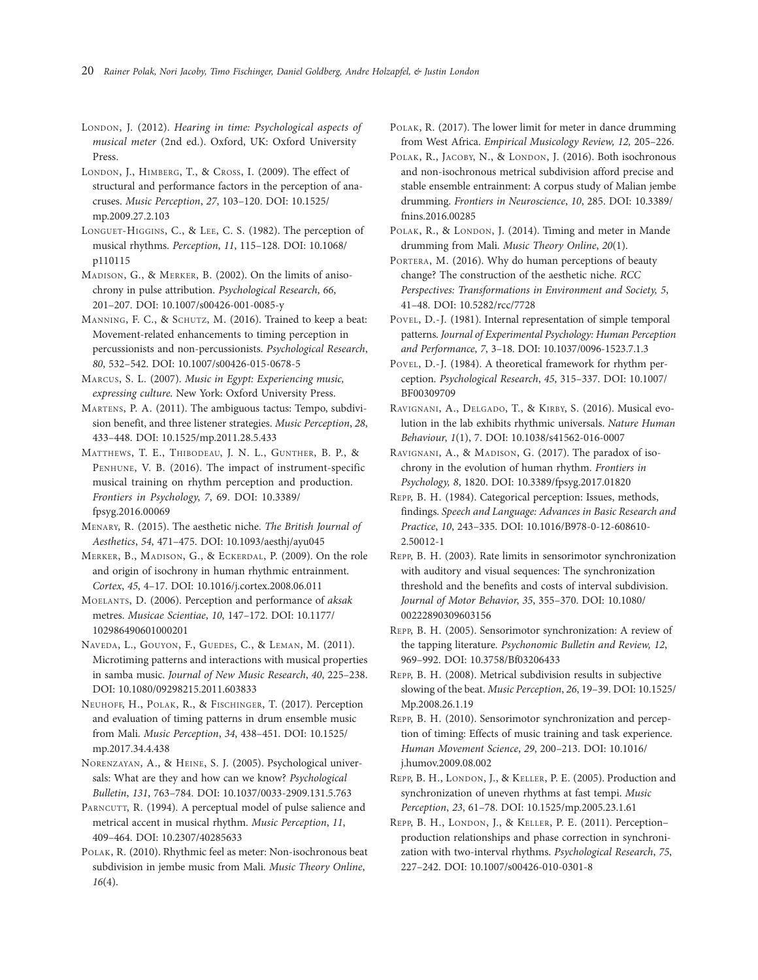LONDON, J. (2012). Hearing in time: Psychological aspects of musical meter (2nd ed.). Oxford, UK: Oxford University Press.

LONDON, J., HIMBERG, T., & CROSS, I. (2009). The effect of structural and performance factors in the perception of anacruses. Music Perception, 27, 103–120. DOI: 10.1525/ mp.2009.27.2.103

LONGUET-HIGGINS, C., & LEE, C. S. (1982). The perception of musical rhythms. Perception, 11, 115–128. DOI: 10.1068/ p110115

MADISON, G., & MERKER, B. (2002). On the limits of anisochrony in pulse attribution. Psychological Research, 66, 201–207. DOI: 10.1007/s00426-001-0085-y

MANNING, F. C., & SCHUTZ, M. (2016). Trained to keep a beat: Movement-related enhancements to timing perception in percussionists and non-percussionists. Psychological Research, 80, 532–542. DOI: 10.1007/s00426-015-0678-5

MARCUS, S. L. (2007). Music in Egypt: Experiencing music, expressing culture. New York: Oxford University Press.

MARTENS, P. A. (2011). The ambiguous tactus: Tempo, subdivision benefit, and three listener strategies. Music Perception, 28, 433–448. DOI: 10.1525/mp.2011.28.5.433

MATTHEWS, T. E., THIBODEAU, J. N. L., GUNTHER, B. P., & PENHUNE, V. B. (2016). The impact of instrument-specific musical training on rhythm perception and production. Frontiers in Psychology, 7, 69. DOI: 10.3389/ fpsyg.2016.00069

MENARY, R. (2015). The aesthetic niche. The British Journal of Aesthetics, 54, 471–475. DOI: 10.1093/aesthj/ayu045

MERKER, B., MADISON, G., & ECKERDAL, P. (2009). On the role and origin of isochrony in human rhythmic entrainment. Cortex, 45, 4–17. DOI: 10.1016/j.cortex.2008.06.011

MOELANTS, D. (2006). Perception and performance of aksak metres. Musicae Scientiae, 10, 147–172. DOI: 10.1177/ 102986490601000201

NAVEDA, L., GOUYON, F., GUEDES, C., & LEMAN, M. (2011). Microtiming patterns and interactions with musical properties in samba music. Journal of New Music Research, 40, 225–238. DOI: 10.1080/09298215.2011.603833

NEUHOFF, H., POLAK, R., & FISCHINGER, T. (2017). Perception and evaluation of timing patterns in drum ensemble music from Mali. Music Perception, 34, 438–451. DOI: 10.1525/ mp.2017.34.4.438

NORENZAYAN, A., & HEINE, S. J. (2005). Psychological universals: What are they and how can we know? Psychological Bulletin, 131, 763–784. DOI: 10.1037/0033-2909.131.5.763

PARNCUTT, R. (1994). A perceptual model of pulse salience and metrical accent in musical rhythm. Music Perception, 11, 409–464. DOI: 10.2307/40285633

POLAK, R. (2010). Rhythmic feel as meter: Non-isochronous beat subdivision in jembe music from Mali. Music Theory Online, 16(4).

POLAK, R. (2017). The lower limit for meter in dance drumming from West Africa. Empirical Musicology Review, 12, 205–226.

POLAK, R., JACOBY, N., & LONDON, J. (2016). Both isochronous and non-isochronous metrical subdivision afford precise and stable ensemble entrainment: A corpus study of Malian jembe drumming. Frontiers in Neuroscience, 10, 285. DOI: 10.3389/ fnins.2016.00285

POLAK, R., & LONDON, J. (2014). Timing and meter in Mande drumming from Mali. Music Theory Online, 20(1).

PORTERA, M. (2016). Why do human perceptions of beauty change? The construction of the aesthetic niche. RCC Perspectives: Transformations in Environment and Society, 5, 41–48. DOI: 10.5282/rcc/7728

POVEL, D.-J. (1981). Internal representation of simple temporal patterns. Journal of Experimental Psychology: Human Perception and Performance, 7, 3–18. DOI: 10.1037/0096-1523.7.1.3

POVEL, D.-J. (1984). A theoretical framework for rhythm perception. Psychological Research, 45, 315–337. DOI: 10.1007/ BF00309709

RAVIGNANI, A., DELGADO, T., & KIRBY, S. (2016). Musical evolution in the lab exhibits rhythmic universals. Nature Human Behaviour, 1(1), 7. DOI: 10.1038/s41562-016-0007

RAVIGNANI, A., & MADISON, G. (2017). The paradox of isochrony in the evolution of human rhythm. Frontiers in Psychology, 8, 1820. DOI: 10.3389/fpsyg.2017.01820

REPP, B. H. (1984). Categorical perception: Issues, methods, findings. Speech and Language: Advances in Basic Research and Practice, 10, 243–335. DOI: 10.1016/B978-0-12-608610- 2.50012-1

REPP, B. H. (2003). Rate limits in sensorimotor synchronization with auditory and visual sequences: The synchronization threshold and the benefits and costs of interval subdivision. Journal of Motor Behavior, 35, 355–370. DOI: 10.1080/ 00222890309603156

REPP, B. H. (2005). Sensorimotor synchronization: A review of the tapping literature. Psychonomic Bulletin and Review, 12, 969–992. DOI: 10.3758/Bf03206433

REPP, B. H. (2008). Metrical subdivision results in subjective slowing of the beat. Music Perception, 26, 19–39. DOI: 10.1525/ Mp.2008.26.1.19

REPP, B. H. (2010). Sensorimotor synchronization and perception of timing: Effects of music training and task experience. Human Movement Science, 29, 200–213. DOI: 10.1016/ j.humov.2009.08.002

REPP, B. H., LONDON, J., & KELLER, P. E. (2005). Production and synchronization of uneven rhythms at fast tempi. Music Perception, 23, 61–78. DOI: 10.1525/mp.2005.23.1.61

REPP, B. H., LONDON, J., & KELLER, P. E. (2011). Perception– production relationships and phase correction in synchronization with two-interval rhythms. Psychological Research, 75, 227–242. DOI: 10.1007/s00426-010-0301-8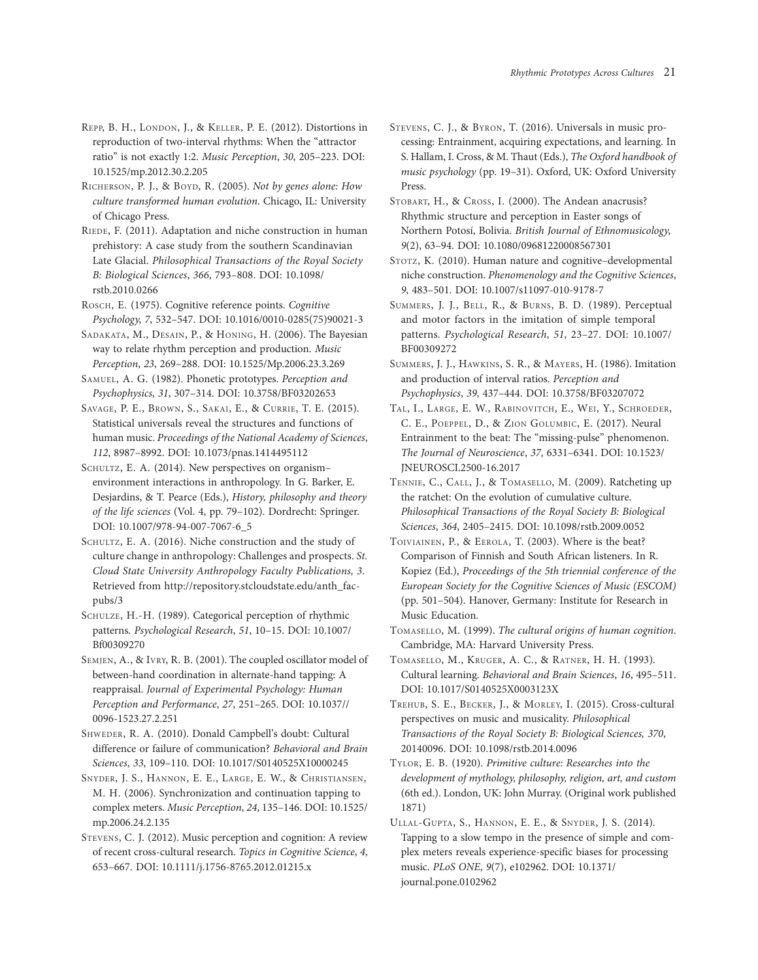REPP, B. H., LONDON, J., & KELLER, P. E. (2012). Distortions in reproduction of two-interval rhythms: When the ''attractor ratio'' is not exactly 1:2. Music Perception, 30, 205–223. DOI: 10.1525/mp.2012.30.2.205

RICHERSON, P. J., & BOYD, R. (2005). Not by genes alone: How culture transformed human evolution. Chicago, IL: University of Chicago Press.

RIEDE, F. (2011). Adaptation and niche construction in human prehistory: A case study from the southern Scandinavian Late Glacial. Philosophical Transactions of the Royal Society B: Biological Sciences, 366, 793–808. DOI: 10.1098/ rstb.2010.0266

ROSCH, E. (1975). Cognitive reference points. Cognitive Psychology, 7, 532–547. DOI: 10.1016/0010-0285(75)90021-3

SADAKATA, M., DESAIN, P., & HONING, H. (2006). The Bayesian way to relate rhythm perception and production. Music Perception, 23, 269–288. DOI: 10.1525/Mp.2006.23.3.269

SAMUEL, A. G. (1982). Phonetic prototypes. Perception and Psychophysics, 31, 307–314. DOI: 10.3758/BF03202653

SAVAGE, P. E., BROWN, S., SAKAI, E., & CURRIE, T. E. (2015). Statistical universals reveal the structures and functions of human music. Proceedings of the National Academy of Sciences, 112, 8987–8992. DOI: 10.1073/pnas.1414495112

SCHULTZ, E. A. (2014). New perspectives on organismenvironment interactions in anthropology. In G. Barker, E. Desjardins, & T. Pearce (Eds.), History, philosophy and theory of the life sciences (Vol. 4, pp. 79–102). Dordrecht: Springer. DOI: 10.1007/978-94-007-7067-6\_5

SCHULTZ, E. A. (2016). Niche construction and the study of culture change in anthropology: Challenges and prospects. St. Cloud State University Anthropology Faculty Publications, 3. Retrieved from http://repository.stcloudstate.edu/anth\_facpubs/3

SCHULZE, H.-H. (1989). Categorical perception of rhythmic patterns. Psychological Research, 51, 10–15. DOI: 10.1007/ Bf00309270

SEMJEN, A., & IVRY, R. B. (2001). The coupled oscillator model of between-hand coordination in alternate-hand tapping: A reappraisal. Journal of Experimental Psychology: Human Perception and Performance, 27, 251–265. DOI: 10.1037// 0096-1523.27.2.251

SHWEDER, R. A. (2010). Donald Campbell's doubt: Cultural difference or failure of communication? Behavioral and Brain Sciences, 33, 109–110. DOI: 10.1017/S0140525X10000245

SNYDER, J. S., HANNON, E. E., LARGE, E. W., & CHRISTIANSEN, M. H. (2006). Synchronization and continuation tapping to complex meters. Music Perception, 24, 135–146. DOI: 10.1525/ mp.2006.24.2.135

STEVENS, C. J. (2012). Music perception and cognition: A review of recent cross-cultural research. Topics in Cognitive Science, 4, 653–667. DOI: 10.1111/j.1756-8765.2012.01215.x

STEVENS, C. J., & BYRON, T. (2016). Universals in music processing: Entrainment, acquiring expectations, and learning. In S. Hallam, I. Cross, & M. Thaut (Eds.), The Oxford handbook of music psychology (pp. 19–31). Oxford, UK: Oxford University Press.

STOBART, H., & CROSS, I. (2000). The Andean anacrusis? Rhythmic structure and perception in Easter songs of Northern Potosí, Bolivia. British Journal of Ethnomusicology, 9(2), 63–94. DOI: 10.1080/09681220008567301

STOTZ, K. (2010). Human nature and cognitive–developmental niche construction. Phenomenology and the Cognitive Sciences, 9, 483–501. DOI: 10.1007/s11097-010-9178-7

SUMMERS, J. J., BELL, R., & BURNS, B. D. (1989). Perceptual and motor factors in the imitation of simple temporal patterns. Psychological Research, 51, 23–27. DOI: 10.1007/ BF00309272

SUMMERS, J. J., HAWKINS, S. R., & MAYERS, H. (1986). Imitation and production of interval ratios. Perception and Psychophysics, 39, 437–444. DOI: 10.3758/BF03207072

TAL, I., LARGE, E. W., RABINOVITCH, E., WEI, Y., SCHROEDER, C. E., POEPPEL, D., & ZION GOLUMBIC, E. (2017). Neural Entrainment to the beat: The "missing-pulse" phenomenon. The Journal of Neuroscience, 37, 6331–6341. DOI: 10.1523/ JNEUROSCI.2500-16.2017

TENNIE, C., CALL, J., & TOMASELLO, M. (2009). Ratcheting up the ratchet: On the evolution of cumulative culture. Philosophical Transactions of the Royal Society B: Biological Sciences, 364, 2405–2415. DOI: 10.1098/rstb.2009.0052

TOIVIAINEN, P., & EEROLA, T. (2003). Where is the beat? Comparison of Finnish and South African listeners. In R. Kopiez (Ed.), Proceedings of the 5th triennial conference of the European Society for the Cognitive Sciences of Music (ESCOM) (pp. 501–504). Hanover, Germany: Institute for Research in Music Education.

TOMASELLO, M. (1999). The cultural origins of human cognition. Cambridge, MA: Harvard University Press.

TOMASELLO, M., KRUGER, A. C., & RATNER, H. H. (1993). Cultural learning. Behavioral and Brain Sciences, 16, 495–511. DOI: 10.1017/S0140525X0003123X

TREHUB, S. E., BECKER, J., & MORLEY, I. (2015). Cross-cultural perspectives on music and musicality. Philosophical Transactions of the Royal Society B: Biological Sciences, 370, 20140096. DOI: 10.1098/rstb.2014.0096

TYLOR, E. B. (1920). Primitive culture: Researches into the development of mythology, philosophy, religion, art, and custom (6th ed.). London, UK: John Murray. (Original work published 1871)

ULLAL-GUPTA, S., HANNON, E. E., & SNYDER, J. S. (2014). Tapping to a slow tempo in the presence of simple and complex meters reveals experience-specific biases for processing music. PLoS ONE, 9(7), e102962. DOI: 10.1371/ journal.pone.0102962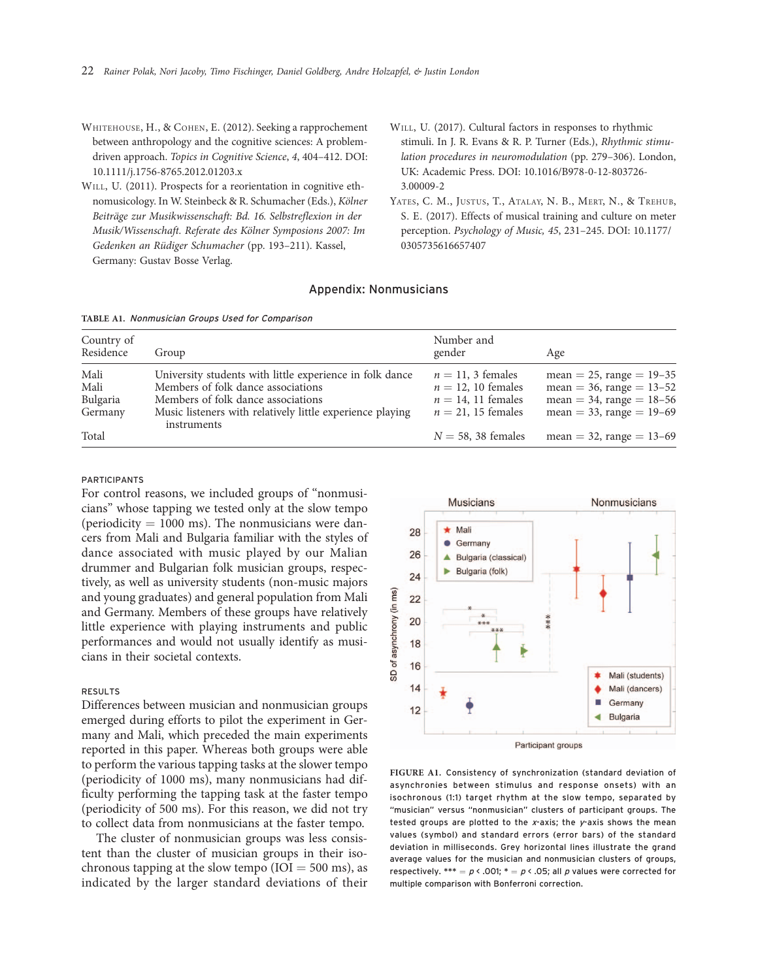- WHITEHOUSE, H., & COHEN, E. (2012). Seeking a rapprochement between anthropology and the cognitive sciences: A problemdriven approach. Topics in Cognitive Science, 4, 404–412. DOI: 10.1111/j.1756-8765.2012.01203.x
- WILL, U. (2011). Prospects for a reorientation in cognitive ethnomusicology. In W. Steinbeck & R. Schumacher (Eds.), Kölner Beiträge zur Musikwissenschaft: Bd. 16. Selbstreflexion in der Musik/Wissenschaft. Referate des Kölner Symposions 2007: Im Gedenken an Rüdiger Schumacher (pp. 193-211). Kassel, Germany: Gustav Bosse Verlag.
- WILL, U. (2017). Cultural factors in responses to rhythmic stimuli. In J. R. Evans & R. P. Turner (Eds.), Rhythmic stimulation procedures in neuromodulation (pp. 279–306). London, UK: Academic Press. DOI: 10.1016/B978-0-12-803726- 3.00009-2
- YATES, C. M., JUSTUS, T., ATALAY, N. B., MERT, N., & TREHUB, S. E. (2017). Effects of musical training and culture on meter perception. Psychology of Music, 45, 231–245. DOI: 10.1177/ 0305735616657407

## Appendix: Nonmusicians

TABLE A1. Nonmusician Groups Used for Comparison

| Country of<br>Residence             | Group                                                                                                                                                                                                            | Number and<br>gender                                                                            | Age                                                                                                                  |
|-------------------------------------|------------------------------------------------------------------------------------------------------------------------------------------------------------------------------------------------------------------|-------------------------------------------------------------------------------------------------|----------------------------------------------------------------------------------------------------------------------|
| Mali<br>Mali<br>Bulgaria<br>Germany | University students with little experience in folk dance<br>Members of folk dance associations<br>Members of folk dance associations<br>Music listeners with relatively little experience playing<br>instruments | $n = 11$ , 3 females<br>$n = 12$ , 10 females<br>$n = 14$ , 11 females<br>$n = 21$ , 15 females | mean = 25, range = $19-35$<br>mean = 36, range = $13-52$<br>mean = 34, range = $18-56$<br>mean = 33, range = $19-69$ |
| Total                               |                                                                                                                                                                                                                  | $N = 58$ , 38 females                                                                           | mean = 32, range = $13-69$                                                                                           |

#### **PARTICIPANTS**

For control reasons, we included groups of "nonmusicians'' whose tapping we tested only at the slow tempo (periodicity  $= 1000$  ms). The nonmusicians were dancers from Mali and Bulgaria familiar with the styles of dance associated with music played by our Malian drummer and Bulgarian folk musician groups, respectively, as well as university students (non-music majors and young graduates) and general population from Mali and Germany. Members of these groups have relatively little experience with playing instruments and public performances and would not usually identify as musicians in their societal contexts.

## RESULTS

Differences between musician and nonmusician groups emerged during efforts to pilot the experiment in Germany and Mali, which preceded the main experiments reported in this paper. Whereas both groups were able to perform the various tapping tasks at the slower tempo (periodicity of 1000 ms), many nonmusicians had difficulty performing the tapping task at the faster tempo (periodicity of 500 ms). For this reason, we did not try to collect data from nonmusicians at the faster tempo.

The cluster of nonmusician groups was less consistent than the cluster of musician groups in their isochronous tapping at the slow tempo (IOI  $=$  500 ms), as indicated by the larger standard deviations of their



FIGURE A1. Consistency of synchronization (standard deviation of asynchronies between stimulus and response onsets) with an isochronous (1:1) target rhythm at the slow tempo, separated by "musician" versus "nonmusician" clusters of participant groups. The tested groups are plotted to the x-axis; the y-axis shows the mean values (symbol) and standard errors (error bars) of the standard deviation in milliseconds. Grey horizontal lines illustrate the grand average values for the musician and nonmusician clusters of groups, respectively. \*\*\* =  $p \triangleleft .001; * = p \triangleleft .05;$  all p values were corrected for multiple comparison with Bonferroni correction.